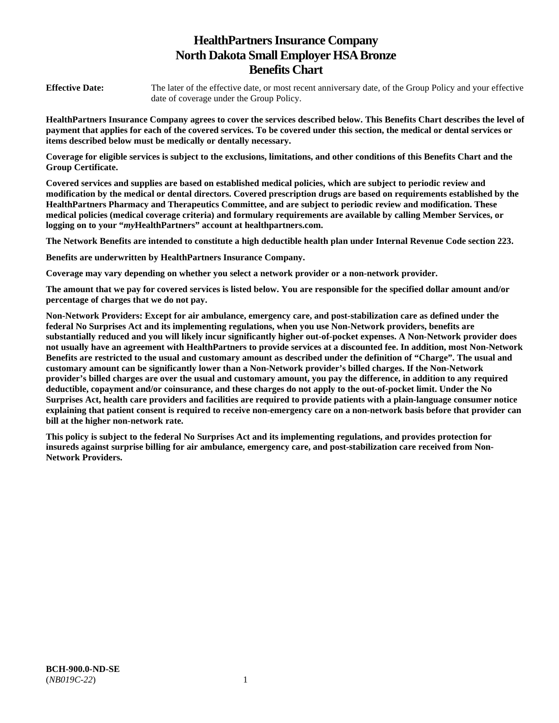# **HealthPartners Insurance Company North Dakota Small Employer HSA Bronze Benefits Chart**

**Effective Date:** The later of the effective date, or most recent anniversary date, of the Group Policy and your effective date of coverage under the Group Policy.

**HealthPartners Insurance Company agrees to cover the services described below. This Benefits Chart describes the level of payment that applies for each of the covered services. To be covered under this section, the medical or dental services or items described below must be medically or dentally necessary.** 

**Coverage for eligible services is subject to the exclusions, limitations, and other conditions of this Benefits Chart and the Group Certificate.** 

**Covered services and supplies are based on established medical policies, which are subject to periodic review and modification by the medical or dental directors. Covered prescription drugs are based on requirements established by the HealthPartners Pharmacy and Therapeutics Committee, and are subject to periodic review and modification. These medical policies (medical coverage criteria) and formulary requirements are available by calling Member Services, or logging on to your "***my***HealthPartners" account at [healthpartners.com.](http://healthpartners.com/)** 

**The Network Benefits are intended to constitute a high deductible health plan under Internal Revenue Code section 223.**

**Benefits are underwritten by HealthPartners Insurance Company.** 

**Coverage may vary depending on whether you select a network provider or a non-network provider.** 

**The amount that we pay for covered services is listed below. You are responsible for the specified dollar amount and/or percentage of charges that we do not pay.** 

**Non-Network Providers: Except for air ambulance, emergency care, and post-stabilization care as defined under the federal No Surprises Act and its implementing regulations, when you use Non-Network providers, benefits are substantially reduced and you will likely incur significantly higher out-of-pocket expenses. A Non-Network provider does not usually have an agreement with HealthPartners to provide services at a discounted fee. In addition, most Non-Network Benefits are restricted to the usual and customary amount as described under the definition of "Charge". The usual and customary amount can be significantly lower than a Non-Network provider's billed charges. If the Non-Network provider's billed charges are over the usual and customary amount, you pay the difference, in addition to any required deductible, copayment and/or coinsurance, and these charges do not apply to the out-of-pocket limit. Under the No Surprises Act, health care providers and facilities are required to provide patients with a plain-language consumer notice explaining that patient consent is required to receive non-emergency care on a non-network basis before that provider can bill at the higher non-network rate.** 

**This policy is subject to the federal No Surprises Act and its implementing regulations, and provides protection for insureds against surprise billing for air ambulance, emergency care, and post-stabilization care received from Non-Network Providers.**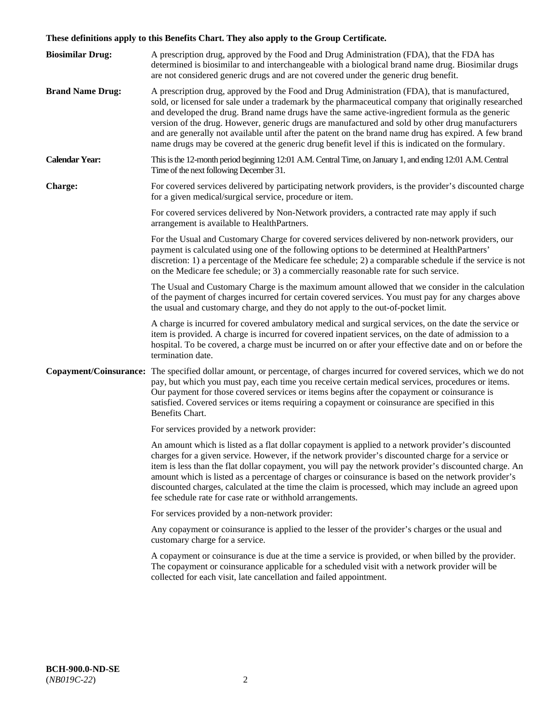# **These definitions apply to this Benefits Chart. They also apply to the Group Certificate.**

| <b>Biosimilar Drug:</b> | A prescription drug, approved by the Food and Drug Administration (FDA), that the FDA has<br>determined is biosimilar to and interchangeable with a biological brand name drug. Biosimilar drugs<br>are not considered generic drugs and are not covered under the generic drug benefit.                                                                                                                                                                                                                                                                                                                                        |
|-------------------------|---------------------------------------------------------------------------------------------------------------------------------------------------------------------------------------------------------------------------------------------------------------------------------------------------------------------------------------------------------------------------------------------------------------------------------------------------------------------------------------------------------------------------------------------------------------------------------------------------------------------------------|
| <b>Brand Name Drug:</b> | A prescription drug, approved by the Food and Drug Administration (FDA), that is manufactured,<br>sold, or licensed for sale under a trademark by the pharmaceutical company that originally researched<br>and developed the drug. Brand name drugs have the same active-ingredient formula as the generic<br>version of the drug. However, generic drugs are manufactured and sold by other drug manufacturers<br>and are generally not available until after the patent on the brand name drug has expired. A few brand<br>name drugs may be covered at the generic drug benefit level if this is indicated on the formulary. |
| <b>Calendar Year:</b>   | This is the 12-month period beginning 12:01 A.M. Central Time, on January 1, and ending 12:01 A.M. Central<br>Time of the next following December 31.                                                                                                                                                                                                                                                                                                                                                                                                                                                                           |
| <b>Charge:</b>          | For covered services delivered by participating network providers, is the provider's discounted charge<br>for a given medical/surgical service, procedure or item.                                                                                                                                                                                                                                                                                                                                                                                                                                                              |
|                         | For covered services delivered by Non-Network providers, a contracted rate may apply if such<br>arrangement is available to HealthPartners.                                                                                                                                                                                                                                                                                                                                                                                                                                                                                     |
|                         | For the Usual and Customary Charge for covered services delivered by non-network providers, our<br>payment is calculated using one of the following options to be determined at HealthPartners'<br>discretion: 1) a percentage of the Medicare fee schedule; 2) a comparable schedule if the service is not<br>on the Medicare fee schedule; or 3) a commercially reasonable rate for such service.                                                                                                                                                                                                                             |
|                         | The Usual and Customary Charge is the maximum amount allowed that we consider in the calculation<br>of the payment of charges incurred for certain covered services. You must pay for any charges above<br>the usual and customary charge, and they do not apply to the out-of-pocket limit.                                                                                                                                                                                                                                                                                                                                    |
|                         | A charge is incurred for covered ambulatory medical and surgical services, on the date the service or<br>item is provided. A charge is incurred for covered inpatient services, on the date of admission to a<br>hospital. To be covered, a charge must be incurred on or after your effective date and on or before the<br>termination date.                                                                                                                                                                                                                                                                                   |
|                         | Copayment/Coinsurance: The specified dollar amount, or percentage, of charges incurred for covered services, which we do not<br>pay, but which you must pay, each time you receive certain medical services, procedures or items.<br>Our payment for those covered services or items begins after the copayment or coinsurance is<br>satisfied. Covered services or items requiring a copayment or coinsurance are specified in this<br>Benefits Chart.                                                                                                                                                                         |
|                         | For services provided by a network provider:                                                                                                                                                                                                                                                                                                                                                                                                                                                                                                                                                                                    |
|                         | An amount which is listed as a flat dollar copayment is applied to a network provider's discounted<br>charges for a given service. However, if the network provider's discounted charge for a service or<br>item is less than the flat dollar copayment, you will pay the network provider's discounted charge. An<br>amount which is listed as a percentage of charges or coinsurance is based on the network provider's<br>discounted charges, calculated at the time the claim is processed, which may include an agreed upon<br>fee schedule rate for case rate or withhold arrangements.                                   |
|                         | For services provided by a non-network provider:                                                                                                                                                                                                                                                                                                                                                                                                                                                                                                                                                                                |
|                         | Any copayment or coinsurance is applied to the lesser of the provider's charges or the usual and<br>customary charge for a service.                                                                                                                                                                                                                                                                                                                                                                                                                                                                                             |
|                         | A copayment or coinsurance is due at the time a service is provided, or when billed by the provider.<br>The copayment or coinsurance applicable for a scheduled visit with a network provider will be<br>collected for each visit, late cancellation and failed appointment.                                                                                                                                                                                                                                                                                                                                                    |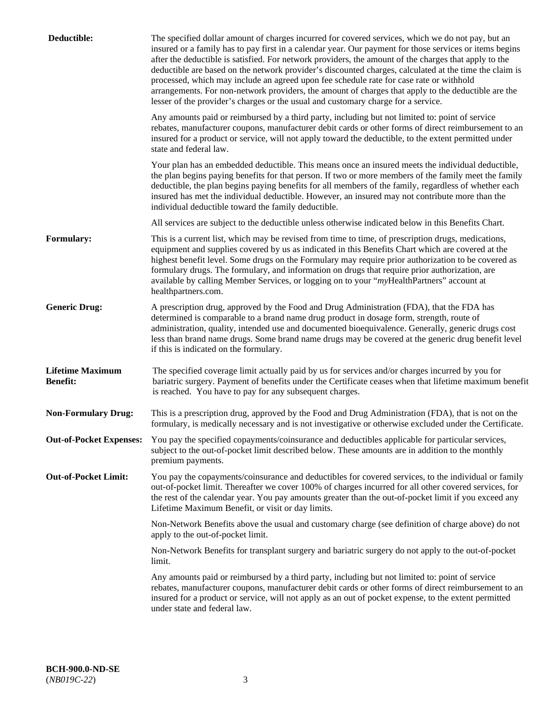| Deductible:                                | The specified dollar amount of charges incurred for covered services, which we do not pay, but an<br>insured or a family has to pay first in a calendar year. Our payment for those services or items begins<br>after the deductible is satisfied. For network providers, the amount of the charges that apply to the<br>deductible are based on the network provider's discounted charges, calculated at the time the claim is<br>processed, which may include an agreed upon fee schedule rate for case rate or withhold<br>arrangements. For non-network providers, the amount of charges that apply to the deductible are the<br>lesser of the provider's charges or the usual and customary charge for a service. |
|--------------------------------------------|------------------------------------------------------------------------------------------------------------------------------------------------------------------------------------------------------------------------------------------------------------------------------------------------------------------------------------------------------------------------------------------------------------------------------------------------------------------------------------------------------------------------------------------------------------------------------------------------------------------------------------------------------------------------------------------------------------------------|
|                                            | Any amounts paid or reimbursed by a third party, including but not limited to: point of service<br>rebates, manufacturer coupons, manufacturer debit cards or other forms of direct reimbursement to an<br>insured for a product or service, will not apply toward the deductible, to the extent permitted under<br>state and federal law.                                                                                                                                                                                                                                                                                                                                                                             |
|                                            | Your plan has an embedded deductible. This means once an insured meets the individual deductible,<br>the plan begins paying benefits for that person. If two or more members of the family meet the family<br>deductible, the plan begins paying benefits for all members of the family, regardless of whether each<br>insured has met the individual deductible. However, an insured may not contribute more than the<br>individual deductible toward the family deductible.                                                                                                                                                                                                                                          |
|                                            | All services are subject to the deductible unless otherwise indicated below in this Benefits Chart.                                                                                                                                                                                                                                                                                                                                                                                                                                                                                                                                                                                                                    |
| <b>Formulary:</b>                          | This is a current list, which may be revised from time to time, of prescription drugs, medications,<br>equipment and supplies covered by us as indicated in this Benefits Chart which are covered at the<br>highest benefit level. Some drugs on the Formulary may require prior authorization to be covered as<br>formulary drugs. The formulary, and information on drugs that require prior authorization, are<br>available by calling Member Services, or logging on to your "myHealthPartners" account at<br>healthpartners.com.                                                                                                                                                                                  |
| <b>Generic Drug:</b>                       | A prescription drug, approved by the Food and Drug Administration (FDA), that the FDA has<br>determined is comparable to a brand name drug product in dosage form, strength, route of<br>administration, quality, intended use and documented bioequivalence. Generally, generic drugs cost<br>less than brand name drugs. Some brand name drugs may be covered at the generic drug benefit level<br>if this is indicated on the formulary.                                                                                                                                                                                                                                                                            |
| <b>Lifetime Maximum</b><br><b>Benefit:</b> | The specified coverage limit actually paid by us for services and/or charges incurred by you for<br>bariatric surgery. Payment of benefits under the Certificate ceases when that lifetime maximum benefit<br>is reached. You have to pay for any subsequent charges.                                                                                                                                                                                                                                                                                                                                                                                                                                                  |
| <b>Non-Formulary Drug:</b>                 | This is a prescription drug, approved by the Food and Drug Administration (FDA), that is not on the<br>formulary, is medically necessary and is not investigative or otherwise excluded under the Certificate.                                                                                                                                                                                                                                                                                                                                                                                                                                                                                                         |
|                                            | Out-of-Pocket Expenses: You pay the specified copayments/coinsurance and deductibles applicable for particular services,<br>subject to the out-of-pocket limit described below. These amounts are in addition to the monthly<br>premium payments.                                                                                                                                                                                                                                                                                                                                                                                                                                                                      |
| <b>Out-of-Pocket Limit:</b>                | You pay the copayments/coinsurance and deductibles for covered services, to the individual or family<br>out-of-pocket limit. Thereafter we cover 100% of charges incurred for all other covered services, for<br>the rest of the calendar year. You pay amounts greater than the out-of-pocket limit if you exceed any<br>Lifetime Maximum Benefit, or visit or day limits.                                                                                                                                                                                                                                                                                                                                            |
|                                            | Non-Network Benefits above the usual and customary charge (see definition of charge above) do not<br>apply to the out-of-pocket limit.                                                                                                                                                                                                                                                                                                                                                                                                                                                                                                                                                                                 |
|                                            | Non-Network Benefits for transplant surgery and bariatric surgery do not apply to the out-of-pocket<br>limit.                                                                                                                                                                                                                                                                                                                                                                                                                                                                                                                                                                                                          |
|                                            | Any amounts paid or reimbursed by a third party, including but not limited to: point of service<br>rebates, manufacturer coupons, manufacturer debit cards or other forms of direct reimbursement to an<br>insured for a product or service, will not apply as an out of pocket expense, to the extent permitted<br>under state and federal law.                                                                                                                                                                                                                                                                                                                                                                       |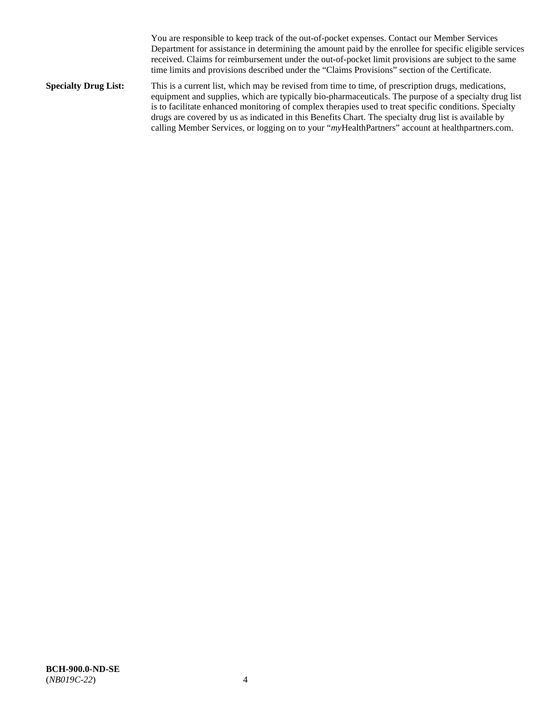You are responsible to keep track of the out-of-pocket expenses. Contact our Member Services Department for assistance in determining the amount paid by the enrollee for specific eligible services received. Claims for reimbursement under the out-of-pocket limit provisions are subject to the same time limits and provisions described under the "Claims Provisions" section of the Certificate.

**Specialty Drug List:** This is a current list, which may be revised from time to time, of prescription drugs, medications, equipment and supplies, which are typically bio-pharmaceuticals. The purpose of a specialty drug list is to facilitate enhanced monitoring of complex therapies used to treat specific conditions. Specialty drugs are covered by us as indicated in this Benefits Chart. The specialty drug list is available by calling Member Services, or logging on to your "*my*HealthPartners" account at [healthpartners.com.](http://www.healthpartners.com/)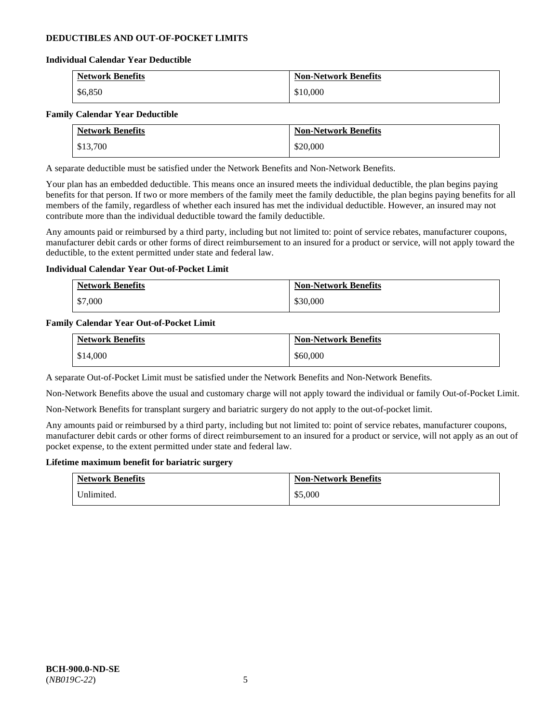# **DEDUCTIBLES AND OUT-OF-POCKET LIMITS**

### **Individual Calendar Year Deductible**

| <b>Network Benefits</b> | <b>Non-Network Benefits</b> |
|-------------------------|-----------------------------|
| \$6,850                 | \$10,000                    |

### **Family Calendar Year Deductible**

| <b>Network Benefits</b> | <b>Non-Network Benefits</b> |
|-------------------------|-----------------------------|
| \$13,700                | \$20,000                    |

A separate deductible must be satisfied under the Network Benefits and Non-Network Benefits.

Your plan has an embedded deductible. This means once an insured meets the individual deductible, the plan begins paying benefits for that person. If two or more members of the family meet the family deductible, the plan begins paying benefits for all members of the family, regardless of whether each insured has met the individual deductible. However, an insured may not contribute more than the individual deductible toward the family deductible.

Any amounts paid or reimbursed by a third party, including but not limited to: point of service rebates, manufacturer coupons, manufacturer debit cards or other forms of direct reimbursement to an insured for a product or service, will not apply toward the deductible, to the extent permitted under state and federal law.

### **Individual Calendar Year Out-of-Pocket Limit**

| <b>Network Benefits</b> | <b>Non-Network Benefits</b> |
|-------------------------|-----------------------------|
| \$7,000                 | \$30,000                    |

### **Family Calendar Year Out-of-Pocket Limit**

| <b>Network Benefits</b> | <b>Non-Network Benefits</b> |
|-------------------------|-----------------------------|
| \$14,000                | \$60,000                    |

A separate Out-of-Pocket Limit must be satisfied under the Network Benefits and Non-Network Benefits.

Non-Network Benefits above the usual and customary charge will not apply toward the individual or family Out-of-Pocket Limit.

Non-Network Benefits for transplant surgery and bariatric surgery do not apply to the out-of-pocket limit.

Any amounts paid or reimbursed by a third party, including but not limited to: point of service rebates, manufacturer coupons, manufacturer debit cards or other forms of direct reimbursement to an insured for a product or service, will not apply as an out of pocket expense, to the extent permitted under state and federal law.

#### **Lifetime maximum benefit for bariatric surgery**

| <b>Network Benefits</b> | <b>Non-Network Benefits</b> |
|-------------------------|-----------------------------|
| Inlimited.              | \$5,000                     |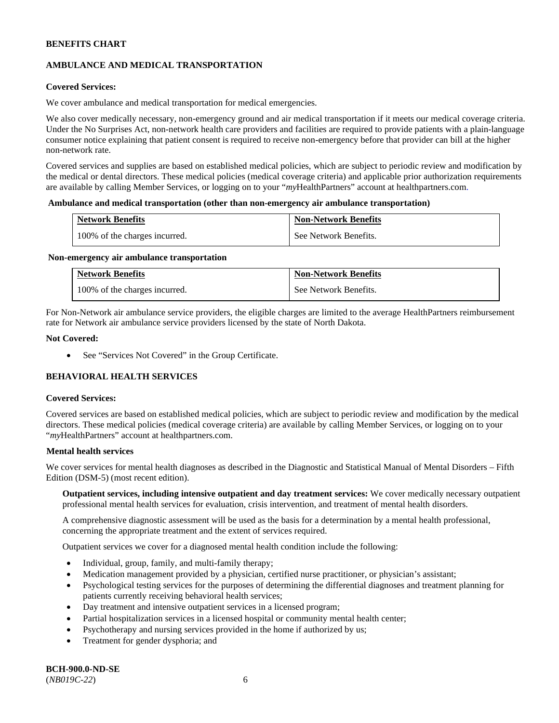# **AMBULANCE AND MEDICAL TRANSPORTATION**

# **Covered Services:**

We cover ambulance and medical transportation for medical emergencies.

We also cover medically necessary, non-emergency ground and air medical transportation if it meets our medical coverage criteria. Under the No Surprises Act, non-network health care providers and facilities are required to provide patients with a plain-language consumer notice explaining that patient consent is required to receive non-emergency before that provider can bill at the higher non-network rate.

Covered services and supplies are based on established medical policies, which are subject to periodic review and modification by the medical or dental directors. These medical policies (medical coverage criteria) and applicable prior authorization requirements are available by calling Member Services, or logging on to your "*my*HealthPartners" account a[t healthpartners.com.](http://www.healthpartners.com/)

### **Ambulance and medical transportation (other than non-emergency air ambulance transportation)**

| <b>Network Benefits</b>       | <b>Non-Network Benefits</b> |
|-------------------------------|-----------------------------|
| 100% of the charges incurred. | See Network Benefits.       |

#### **Non-emergency air ambulance transportation**

| <b>Network Benefits</b>       | <b>Non-Network Benefits</b> |
|-------------------------------|-----------------------------|
| 100% of the charges incurred. | See Network Benefits.       |

For Non-Network air ambulance service providers, the eligible charges are limited to the average HealthPartners reimbursement rate for Network air ambulance service providers licensed by the state of North Dakota.

### **Not Covered:**

• See "Services Not Covered" in the Group Certificate.

# **BEHAVIORAL HEALTH SERVICES**

#### **Covered Services:**

Covered services are based on established medical policies, which are subject to periodic review and modification by the medical directors. These medical policies (medical coverage criteria) are available by calling Member Services, or logging on to your "*my*HealthPartners" account at [healthpartners.com.](http://healthpartners.com/)

### **Mental health services**

We cover services for mental health diagnoses as described in the Diagnostic and Statistical Manual of Mental Disorders – Fifth Edition (DSM-5) (most recent edition).

**Outpatient services, including intensive outpatient and day treatment services:** We cover medically necessary outpatient professional mental health services for evaluation, crisis intervention, and treatment of mental health disorders.

A comprehensive diagnostic assessment will be used as the basis for a determination by a mental health professional, concerning the appropriate treatment and the extent of services required.

Outpatient services we cover for a diagnosed mental health condition include the following:

- Individual, group, family, and multi-family therapy;
- Medication management provided by a physician, certified nurse practitioner, or physician's assistant;
- Psychological testing services for the purposes of determining the differential diagnoses and treatment planning for patients currently receiving behavioral health services;
- Day treatment and intensive outpatient services in a licensed program;
- Partial hospitalization services in a licensed hospital or community mental health center;
- Psychotherapy and nursing services provided in the home if authorized by us;
- Treatment for gender dysphoria; and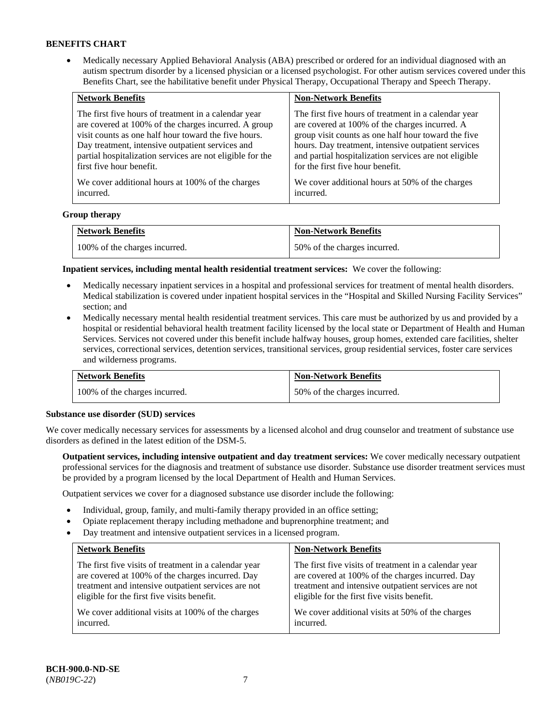• Medically necessary Applied Behavioral Analysis (ABA) prescribed or ordered for an individual diagnosed with an autism spectrum disorder by a licensed physician or a licensed psychologist. For other autism services covered under this Benefits Chart, see the habilitative benefit under Physical Therapy, Occupational Therapy and Speech Therapy.

| <b>Network Benefits</b>                                   | <b>Non-Network Benefits</b>                           |
|-----------------------------------------------------------|-------------------------------------------------------|
| The first five hours of treatment in a calendar year      | The first five hours of treatment in a calendar year  |
| are covered at 100% of the charges incurred. A group      | are covered at 100% of the charges incurred. A        |
| visit counts as one half hour toward the five hours.      | group visit counts as one half hour toward the five   |
| Day treatment, intensive outpatient services and          | hours. Day treatment, intensive outpatient services   |
| partial hospitalization services are not eligible for the | and partial hospitalization services are not eligible |
| first five hour benefit.                                  | for the first five hour benefit.                      |
| We cover additional hours at 100% of the charges          | We cover additional hours at 50% of the charges       |
| incurred.                                                 | incurred.                                             |

### **Group therapy**

| <b>Network Benefits</b>       | <b>Non-Network Benefits</b>  |
|-------------------------------|------------------------------|
| 100% of the charges incurred. | 50% of the charges incurred. |

**Inpatient services, including mental health residential treatment services:** We cover the following:

- Medically necessary inpatient services in a hospital and professional services for treatment of mental health disorders. Medical stabilization is covered under inpatient hospital services in the "Hospital and Skilled Nursing Facility Services" section; and
- Medically necessary mental health residential treatment services. This care must be authorized by us and provided by a hospital or residential behavioral health treatment facility licensed by the local state or Department of Health and Human Services. Services not covered under this benefit include halfway houses, group homes, extended care facilities, shelter services, correctional services, detention services, transitional services, group residential services, foster care services and wilderness programs.

| <b>Network Benefits</b>       | <b>Non-Network Benefits</b>  |
|-------------------------------|------------------------------|
| 100% of the charges incurred. | 50% of the charges incurred. |

#### **Substance use disorder (SUD) services**

We cover medically necessary services for assessments by a licensed alcohol and drug counselor and treatment of substance use disorders as defined in the latest edition of the DSM-5.

**Outpatient services, including intensive outpatient and day treatment services:** We cover medically necessary outpatient professional services for the diagnosis and treatment of substance use disorder. Substance use disorder treatment services must be provided by a program licensed by the local Department of Health and Human Services.

Outpatient services we cover for a diagnosed substance use disorder include the following:

- Individual, group, family, and multi-family therapy provided in an office setting;
- Opiate replacement therapy including methadone and buprenorphine treatment; and
- Day treatment and intensive outpatient services in a licensed program.

| <b>Network Benefits</b>                               | <b>Non-Network Benefits</b>                           |
|-------------------------------------------------------|-------------------------------------------------------|
| The first five visits of treatment in a calendar year | The first five visits of treatment in a calendar year |
| are covered at 100% of the charges incurred. Day      | are covered at 100% of the charges incurred. Day      |
| treatment and intensive outpatient services are not   | treatment and intensive outpatient services are not   |
| eligible for the first five visits benefit.           | eligible for the first five visits benefit.           |
| We cover additional visits at 100% of the charges     | We cover additional visits at 50% of the charges      |
| incurred.                                             | incurred.                                             |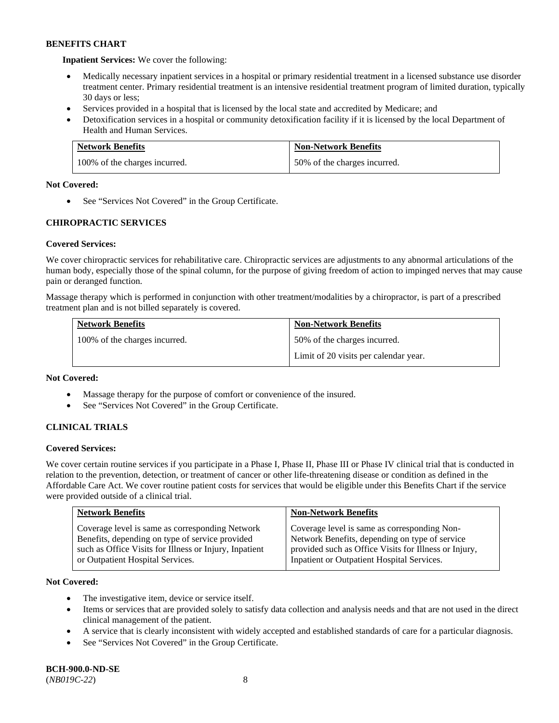**Inpatient Services:** We cover the following:

- Medically necessary inpatient services in a hospital or primary residential treatment in a licensed substance use disorder treatment center. Primary residential treatment is an intensive residential treatment program of limited duration, typically 30 days or less;
- Services provided in a hospital that is licensed by the local state and accredited by Medicare; and
- Detoxification services in a hospital or community detoxification facility if it is licensed by the local Department of Health and Human Services.

| <b>Network Benefits</b>       | <b>Non-Network Benefits</b>  |
|-------------------------------|------------------------------|
| 100% of the charges incurred. | 50% of the charges incurred. |

# **Not Covered:**

• See "Services Not Covered" in the Group Certificate.

# **CHIROPRACTIC SERVICES**

# **Covered Services:**

We cover chiropractic services for rehabilitative care. Chiropractic services are adjustments to any abnormal articulations of the human body, especially those of the spinal column, for the purpose of giving freedom of action to impinged nerves that may cause pain or deranged function.

Massage therapy which is performed in conjunction with other treatment/modalities by a chiropractor, is part of a prescribed treatment plan and is not billed separately is covered.

| <b>Network Benefits</b>       | <b>Non-Network Benefits</b>           |
|-------------------------------|---------------------------------------|
| 100% of the charges incurred. | 50% of the charges incurred.          |
|                               | Limit of 20 visits per calendar year. |

# **Not Covered:**

- Massage therapy for the purpose of comfort or convenience of the insured.
- See "Services Not Covered" in the Group Certificate.

# **CLINICAL TRIALS**

# **Covered Services:**

We cover certain routine services if you participate in a Phase I, Phase II, Phase III or Phase IV clinical trial that is conducted in relation to the prevention, detection, or treatment of cancer or other life-threatening disease or condition as defined in the Affordable Care Act. We cover routine patient costs for services that would be eligible under this Benefits Chart if the service were provided outside of a clinical trial.

| <b>Network Benefits</b>                                                                                                                                                                          | <b>Non-Network Benefits</b>                                                                                                                                                                           |
|--------------------------------------------------------------------------------------------------------------------------------------------------------------------------------------------------|-------------------------------------------------------------------------------------------------------------------------------------------------------------------------------------------------------|
| Coverage level is same as corresponding Network<br>Benefits, depending on type of service provided<br>such as Office Visits for Illness or Injury, Inpatient<br>or Outpatient Hospital Services. | Coverage level is same as corresponding Non-<br>Network Benefits, depending on type of service<br>provided such as Office Visits for Illness or Injury,<br>Inpatient or Outpatient Hospital Services. |

# **Not Covered:**

- The investigative item, device or service itself.
- Items or services that are provided solely to satisfy data collection and analysis needs and that are not used in the direct clinical management of the patient.
- A service that is clearly inconsistent with widely accepted and established standards of care for a particular diagnosis.
- See "Services Not Covered" in the Group Certificate.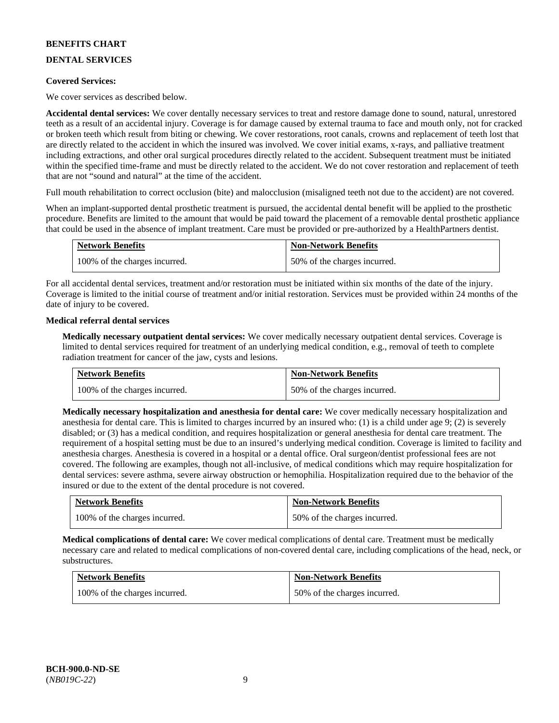# **DENTAL SERVICES**

### **Covered Services:**

We cover services as described below.

**Accidental dental services:** We cover dentally necessary services to treat and restore damage done to sound, natural, unrestored teeth as a result of an accidental injury. Coverage is for damage caused by external trauma to face and mouth only, not for cracked or broken teeth which result from biting or chewing. We cover restorations, root canals, crowns and replacement of teeth lost that are directly related to the accident in which the insured was involved. We cover initial exams, x-rays, and palliative treatment including extractions, and other oral surgical procedures directly related to the accident. Subsequent treatment must be initiated within the specified time-frame and must be directly related to the accident. We do not cover restoration and replacement of teeth that are not "sound and natural" at the time of the accident.

Full mouth rehabilitation to correct occlusion (bite) and malocclusion (misaligned teeth not due to the accident) are not covered.

When an implant-supported dental prosthetic treatment is pursued, the accidental dental benefit will be applied to the prosthetic procedure. Benefits are limited to the amount that would be paid toward the placement of a removable dental prosthetic appliance that could be used in the absence of implant treatment. Care must be provided or pre-authorized by a HealthPartners dentist.

| <b>Network Benefits</b>       | <b>Non-Network Benefits</b>  |
|-------------------------------|------------------------------|
| 100% of the charges incurred. | 50% of the charges incurred. |

For all accidental dental services, treatment and/or restoration must be initiated within six months of the date of the injury. Coverage is limited to the initial course of treatment and/or initial restoration. Services must be provided within 24 months of the date of injury to be covered.

### **Medical referral dental services**

**Medically necessary outpatient dental services:** We cover medically necessary outpatient dental services. Coverage is limited to dental services required for treatment of an underlying medical condition, e.g., removal of teeth to complete radiation treatment for cancer of the jaw, cysts and lesions.

| <b>Network Benefits</b>       | <b>Non-Network Benefits</b>  |
|-------------------------------|------------------------------|
| 100% of the charges incurred. | 50% of the charges incurred. |

**Medically necessary hospitalization and anesthesia for dental care:** We cover medically necessary hospitalization and anesthesia for dental care. This is limited to charges incurred by an insured who: (1) is a child under age 9; (2) is severely disabled; or (3) has a medical condition, and requires hospitalization or general anesthesia for dental care treatment. The requirement of a hospital setting must be due to an insured's underlying medical condition. Coverage is limited to facility and anesthesia charges. Anesthesia is covered in a hospital or a dental office. Oral surgeon/dentist professional fees are not covered. The following are examples, though not all-inclusive, of medical conditions which may require hospitalization for dental services: severe asthma, severe airway obstruction or hemophilia. Hospitalization required due to the behavior of the insured or due to the extent of the dental procedure is not covered.

| <b>Network Benefits</b>       | <b>Non-Network Benefits</b>  |
|-------------------------------|------------------------------|
| 100% of the charges incurred. | 50% of the charges incurred. |

**Medical complications of dental care:** We cover medical complications of dental care. Treatment must be medically necessary care and related to medical complications of non-covered dental care, including complications of the head, neck, or substructures.

| <b>Network Benefits</b>       | <b>Non-Network Benefits</b>  |
|-------------------------------|------------------------------|
| 100% of the charges incurred. | 50% of the charges incurred. |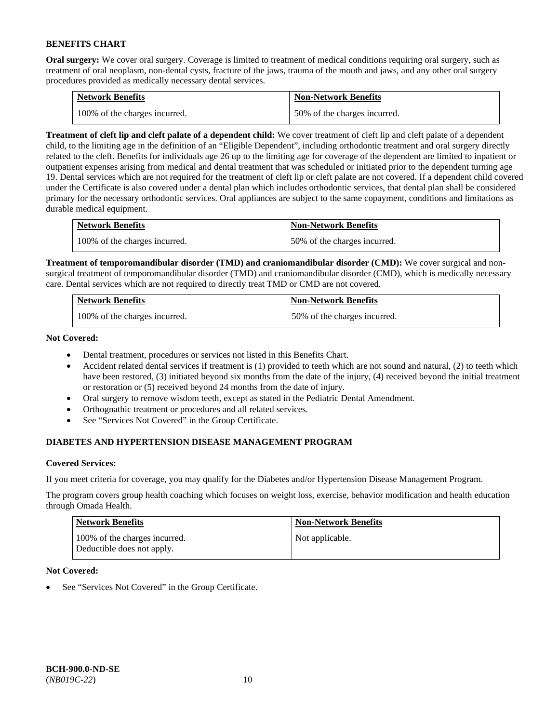**Oral surgery:** We cover oral surgery. Coverage is limited to treatment of medical conditions requiring oral surgery, such as treatment of oral neoplasm, non-dental cysts, fracture of the jaws, trauma of the mouth and jaws, and any other oral surgery procedures provided as medically necessary dental services.

| <b>Network Benefits</b>       | <b>Non-Network Benefits</b>  |
|-------------------------------|------------------------------|
| 100% of the charges incurred. | 50% of the charges incurred. |

**Treatment of cleft lip and cleft palate of a dependent child:** We cover treatment of cleft lip and cleft palate of a dependent child, to the limiting age in the definition of an "Eligible Dependent", including orthodontic treatment and oral surgery directly related to the cleft. Benefits for individuals age 26 up to the limiting age for coverage of the dependent are limited to inpatient or outpatient expenses arising from medical and dental treatment that was scheduled or initiated prior to the dependent turning age 19. Dental services which are not required for the treatment of cleft lip or cleft palate are not covered. If a dependent child covered under the Certificate is also covered under a dental plan which includes orthodontic services, that dental plan shall be considered primary for the necessary orthodontic services. Oral appliances are subject to the same copayment, conditions and limitations as durable medical equipment.

| <b>Network Benefits</b>       | <b>Non-Network Benefits</b>  |
|-------------------------------|------------------------------|
| 100% of the charges incurred. | 50% of the charges incurred. |

**Treatment of temporomandibular disorder (TMD) and craniomandibular disorder (CMD):** We cover surgical and nonsurgical treatment of temporomandibular disorder (TMD) and craniomandibular disorder (CMD), which is medically necessary care. Dental services which are not required to directly treat TMD or CMD are not covered.

| <b>Network Benefits</b>       | <b>Non-Network Benefits</b>  |
|-------------------------------|------------------------------|
| 100% of the charges incurred. | 50% of the charges incurred. |

**Not Covered:** 

- Dental treatment, procedures or services not listed in this Benefits Chart.
- Accident related dental services if treatment is (1) provided to teeth which are not sound and natural, (2) to teeth which have been restored, (3) initiated beyond six months from the date of the injury, (4) received beyond the initial treatment or restoration or (5) received beyond 24 months from the date of injury.
- Oral surgery to remove wisdom teeth, except as stated in the Pediatric Dental Amendment.
- Orthognathic treatment or procedures and all related services.
- See "Services Not Covered" in the Group Certificate.

# **DIABETES AND HYPERTENSION DISEASE MANAGEMENT PROGRAM**

# **Covered Services:**

If you meet criteria for coverage, you may qualify for the Diabetes and/or Hypertension Disease Management Program.

The program covers group health coaching which focuses on weight loss, exercise, behavior modification and health education through Omada Health.

| <b>Network Benefits</b>                                     | <b>Non-Network Benefits</b> |
|-------------------------------------------------------------|-----------------------------|
| 100% of the charges incurred.<br>Deductible does not apply. | Not applicable.             |

# **Not Covered:**

See "Services Not Covered" in the Group Certificate.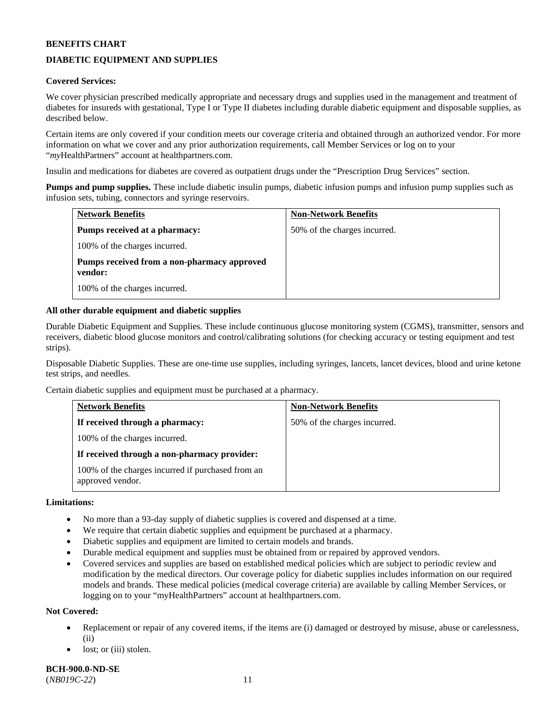# **DIABETIC EQUIPMENT AND SUPPLIES**

# **Covered Services:**

We cover physician prescribed medically appropriate and necessary drugs and supplies used in the management and treatment of diabetes for insureds with gestational, Type I or Type II diabetes including durable diabetic equipment and disposable supplies, as described below.

Certain items are only covered if your condition meets our coverage criteria and obtained through an authorized vendor. For more information on what we cover and any prior authorization requirements, call Member Services or log on to your "*my*HealthPartners" account at [healthpartners.com.](http://www.healthpartners.com/)

Insulin and medications for diabetes are covered as outpatient drugs under the "Prescription Drug Services" section.

**Pumps and pump supplies.** These include diabetic insulin pumps, diabetic infusion pumps and infusion pump supplies such as infusion sets, tubing, connectors and syringe reservoirs.

| <b>Network Benefits</b>                                | <b>Non-Network Benefits</b>  |
|--------------------------------------------------------|------------------------------|
| Pumps received at a pharmacy:                          | 50% of the charges incurred. |
| 100% of the charges incurred.                          |                              |
| Pumps received from a non-pharmacy approved<br>vendor: |                              |
| 100% of the charges incurred.                          |                              |

### **All other durable equipment and diabetic supplies**

Durable Diabetic Equipment and Supplies. These include continuous glucose monitoring system (CGMS), transmitter, sensors and receivers, diabetic blood glucose monitors and control/calibrating solutions (for checking accuracy or testing equipment and test strips).

Disposable Diabetic Supplies. These are one-time use supplies, including syringes, lancets, lancet devices, blood and urine ketone test strips, and needles.

Certain diabetic supplies and equipment must be purchased at a pharmacy.

| <b>Network Benefits</b>                                               | <b>Non-Network Benefits</b>  |
|-----------------------------------------------------------------------|------------------------------|
| If received through a pharmacy:                                       | 50% of the charges incurred. |
| 100% of the charges incurred.                                         |                              |
| If received through a non-pharmacy provider:                          |                              |
| 100% of the charges incurred if purchased from an<br>approved vendor. |                              |

### **Limitations:**

- No more than a 93-day supply of diabetic supplies is covered and dispensed at a time.
- We require that certain diabetic supplies and equipment be purchased at a pharmacy.
- Diabetic supplies and equipment are limited to certain models and brands.
- Durable medical equipment and supplies must be obtained from or repaired by approved vendors.
- Covered services and supplies are based on established medical policies which are subject to periodic review and modification by the medical directors. Our coverage policy for diabetic supplies includes information on our required models and brands. These medical policies (medical coverage criteria) are available by calling Member Services, or logging on to your "myHealthPartners" account a[t healthpartners.com.](http://www.healthpartners.com/)

#### **Not Covered:**

- Replacement or repair of any covered items, if the items are (i) damaged or destroyed by misuse, abuse or carelessness, (ii)
- lost; or (iii) stolen.

**BCH-900.0-ND-SE** (*NB019C-22*) 11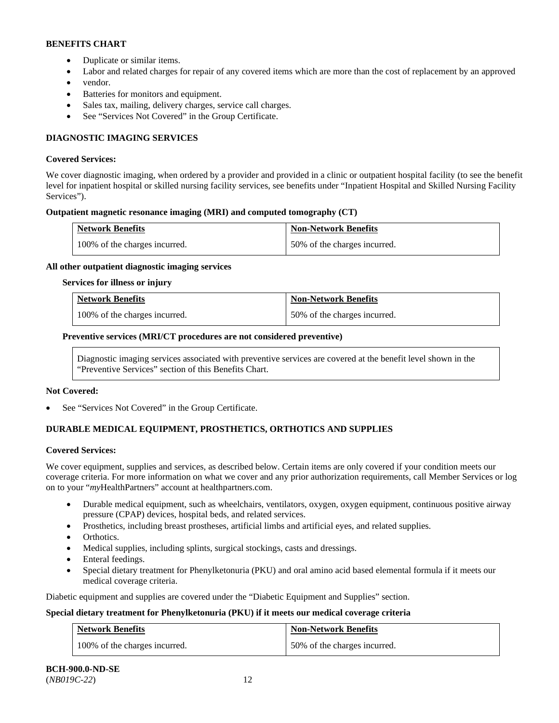- Duplicate or similar items.
- Labor and related charges for repair of any covered items which are more than the cost of replacement by an approved
- vendor.
- Batteries for monitors and equipment.
- Sales tax, mailing, delivery charges, service call charges.
- See "Services Not Covered" in the Group Certificate.

# **DIAGNOSTIC IMAGING SERVICES**

### **Covered Services:**

We cover diagnostic imaging, when ordered by a provider and provided in a clinic or outpatient hospital facility (to see the benefit level for inpatient hospital or skilled nursing facility services, see benefits under "Inpatient Hospital and Skilled Nursing Facility Services").

# **Outpatient magnetic resonance imaging (MRI) and computed tomography (CT)**

| <b>Network Benefits</b>       | <b>Non-Network Benefits</b>  |
|-------------------------------|------------------------------|
| 100% of the charges incurred. | 50% of the charges incurred. |

### **All other outpatient diagnostic imaging services**

#### **Services for illness or injury**

| <b>Network Benefits</b>       | <b>Non-Network Benefits</b>  |
|-------------------------------|------------------------------|
| 100% of the charges incurred. | 50% of the charges incurred. |

# **Preventive services (MRI/CT procedures are not considered preventive)**

Diagnostic imaging services associated with preventive services are covered at the benefit level shown in the "Preventive Services" section of this Benefits Chart.

#### **Not Covered:**

See "Services Not Covered" in the Group Certificate.

# **DURABLE MEDICAL EQUIPMENT, PROSTHETICS, ORTHOTICS AND SUPPLIES**

#### **Covered Services:**

We cover equipment, supplies and services, as described below. Certain items are only covered if your condition meets our coverage criteria. For more information on what we cover and any prior authorization requirements, call Member Services or log on to your "*my*HealthPartners" account at [healthpartners.com.](http://www.healthpartners.com/)

- Durable medical equipment, such as wheelchairs, ventilators, oxygen, oxygen equipment, continuous positive airway pressure (CPAP) devices, hospital beds, and related services.
- Prosthetics, including breast prostheses, artificial limbs and artificial eyes, and related supplies.
- Orthotics.
- Medical supplies, including splints, surgical stockings, casts and dressings.
- Enteral feedings.
- Special dietary treatment for Phenylketonuria (PKU) and oral amino acid based elemental formula if it meets our medical coverage criteria.

Diabetic equipment and supplies are covered under the "Diabetic Equipment and Supplies" section.

# **Special dietary treatment for Phenylketonuria (PKU) if it meets our medical coverage criteria**

| <b>Network Benefits</b>       | <b>Non-Network Benefits</b>  |
|-------------------------------|------------------------------|
| 100% of the charges incurred. | 50% of the charges incurred. |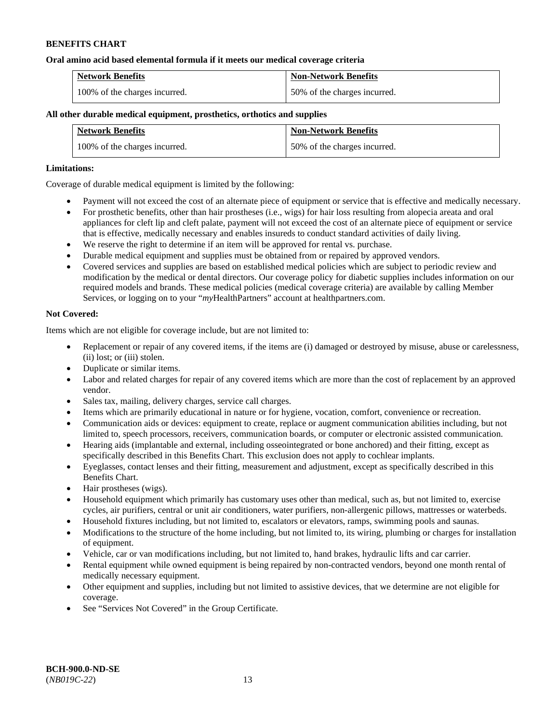### **Oral amino acid based elemental formula if it meets our medical coverage criteria**

| <b>Network Benefits</b>       | <b>Non-Network Benefits</b>  |
|-------------------------------|------------------------------|
| 100% of the charges incurred. | 50% of the charges incurred. |

# **All other durable medical equipment, prosthetics, orthotics and supplies**

| <b>Network Benefits</b>       | <b>Non-Network Benefits</b>  |
|-------------------------------|------------------------------|
| 100% of the charges incurred. | 50% of the charges incurred. |

### **Limitations:**

Coverage of durable medical equipment is limited by the following:

- Payment will not exceed the cost of an alternate piece of equipment or service that is effective and medically necessary.
- For prosthetic benefits, other than hair prostheses (i.e., wigs) for hair loss resulting from alopecia areata and oral appliances for cleft lip and cleft palate, payment will not exceed the cost of an alternate piece of equipment or service that is effective, medically necessary and enables insureds to conduct standard activities of daily living.
- We reserve the right to determine if an item will be approved for rental vs. purchase.
- Durable medical equipment and supplies must be obtained from or repaired by approved vendors.
- Covered services and supplies are based on established medical policies which are subject to periodic review and modification by the medical or dental directors. Our coverage policy for diabetic supplies includes information on our required models and brands. These medical policies (medical coverage criteria) are available by calling Member Services, or logging on to your "*my*HealthPartners" account at [healthpartners.com.](http://www.healthpartners.com/)

### **Not Covered:**

Items which are not eligible for coverage include, but are not limited to:

- Replacement or repair of any covered items, if the items are (i) damaged or destroyed by misuse, abuse or carelessness, (ii) lost; or (iii) stolen.
- Duplicate or similar items.
- Labor and related charges for repair of any covered items which are more than the cost of replacement by an approved vendor.
- Sales tax, mailing, delivery charges, service call charges.
- Items which are primarily educational in nature or for hygiene, vocation, comfort, convenience or recreation.
- Communication aids or devices: equipment to create, replace or augment communication abilities including, but not limited to, speech processors, receivers, communication boards, or computer or electronic assisted communication.
- Hearing aids (implantable and external, including osseointegrated or bone anchored) and their fitting, except as specifically described in this Benefits Chart. This exclusion does not apply to cochlear implants.
- Eyeglasses, contact lenses and their fitting, measurement and adjustment, except as specifically described in this Benefits Chart.
- Hair prostheses (wigs).
- Household equipment which primarily has customary uses other than medical, such as, but not limited to, exercise cycles, air purifiers, central or unit air conditioners, water purifiers, non-allergenic pillows, mattresses or waterbeds.
- Household fixtures including, but not limited to, escalators or elevators, ramps, swimming pools and saunas.
- Modifications to the structure of the home including, but not limited to, its wiring, plumbing or charges for installation of equipment.
- Vehicle, car or van modifications including, but not limited to, hand brakes, hydraulic lifts and car carrier.
- Rental equipment while owned equipment is being repaired by non-contracted vendors, beyond one month rental of medically necessary equipment.
- Other equipment and supplies, including but not limited to assistive devices, that we determine are not eligible for coverage.
- See "Services Not Covered" in the Group Certificate.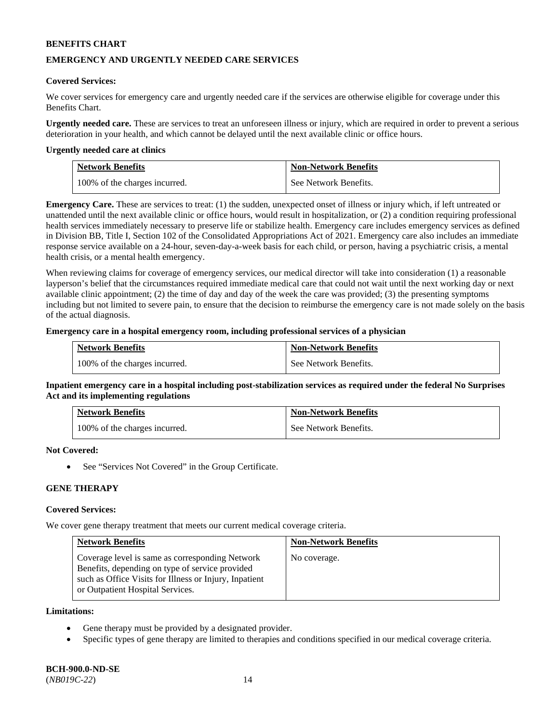# **EMERGENCY AND URGENTLY NEEDED CARE SERVICES**

### **Covered Services:**

We cover services for emergency care and urgently needed care if the services are otherwise eligible for coverage under this Benefits Chart.

**Urgently needed care.** These are services to treat an unforeseen illness or injury, which are required in order to prevent a serious deterioration in your health, and which cannot be delayed until the next available clinic or office hours.

### **Urgently needed care at clinics**

| <b>Network Benefits</b>       | <b>Non-Network Benefits</b> |
|-------------------------------|-----------------------------|
| 100% of the charges incurred. | See Network Benefits.       |

**Emergency Care.** These are services to treat: (1) the sudden, unexpected onset of illness or injury which, if left untreated or unattended until the next available clinic or office hours, would result in hospitalization, or (2) a condition requiring professional health services immediately necessary to preserve life or stabilize health. Emergency care includes emergency services as defined in Division BB, Title I, Section 102 of the Consolidated Appropriations Act of 2021. Emergency care also includes an immediate response service available on a 24-hour, seven-day-a-week basis for each child, or person, having a psychiatric crisis, a mental health crisis, or a mental health emergency.

When reviewing claims for coverage of emergency services, our medical director will take into consideration (1) a reasonable layperson's belief that the circumstances required immediate medical care that could not wait until the next working day or next available clinic appointment; (2) the time of day and day of the week the care was provided; (3) the presenting symptoms including but not limited to severe pain, to ensure that the decision to reimburse the emergency care is not made solely on the basis of the actual diagnosis.

# **Emergency care in a hospital emergency room, including professional services of a physician**

| <b>Network Benefits</b>       | <b>Non-Network Benefits</b> |
|-------------------------------|-----------------------------|
| 100% of the charges incurred. | See Network Benefits.       |

**Inpatient emergency care in a hospital including post-stabilization services as required under the federal No Surprises Act and its implementing regulations**

| <b>Network Benefits</b>       | <b>Non-Network Benefits</b> |
|-------------------------------|-----------------------------|
| 100% of the charges incurred. | See Network Benefits.       |

#### **Not Covered:**

See "Services Not Covered" in the Group Certificate.

# **GENE THERAPY**

### **Covered Services:**

We cover gene therapy treatment that meets our current medical coverage criteria.

| <b>Network Benefits</b>                                                                                                                                                                          | <b>Non-Network Benefits</b> |
|--------------------------------------------------------------------------------------------------------------------------------------------------------------------------------------------------|-----------------------------|
| Coverage level is same as corresponding Network<br>Benefits, depending on type of service provided<br>such as Office Visits for Illness or Injury, Inpatient<br>or Outpatient Hospital Services. | No coverage.                |

#### **Limitations:**

- Gene therapy must be provided by a designated provider.
- Specific types of gene therapy are limited to therapies and conditions specified in our medical coverage criteria.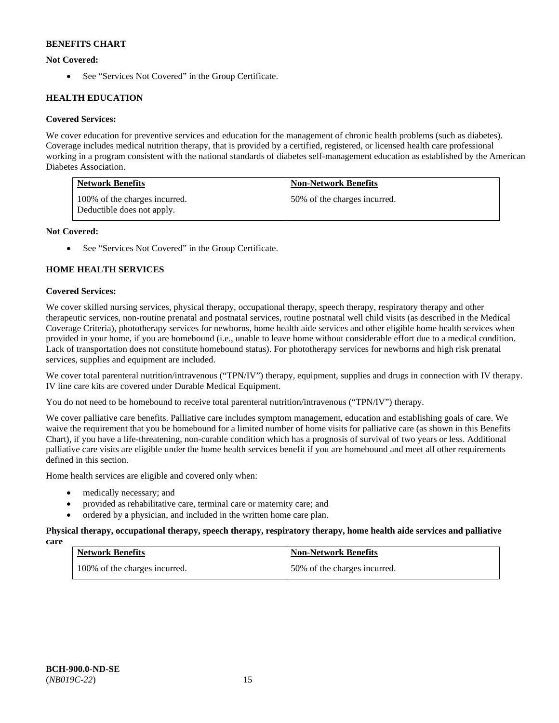# **Not Covered:**

• See "Services Not Covered" in the Group Certificate.

# **HEALTH EDUCATION**

# **Covered Services:**

We cover education for preventive services and education for the management of chronic health problems (such as diabetes). Coverage includes medical nutrition therapy, that is provided by a certified, registered, or licensed health care professional working in a program consistent with the national standards of diabetes self-management education as established by the American Diabetes Association.

| <b>Network Benefits</b>                                     | <b>Non-Network Benefits</b>  |
|-------------------------------------------------------------|------------------------------|
| 100% of the charges incurred.<br>Deductible does not apply. | 50% of the charges incurred. |

# **Not Covered:**

See "Services Not Covered" in the Group Certificate.

# **HOME HEALTH SERVICES**

# **Covered Services:**

We cover skilled nursing services, physical therapy, occupational therapy, speech therapy, respiratory therapy and other therapeutic services, non-routine prenatal and postnatal services, routine postnatal well child visits (as described in the Medical Coverage Criteria), phototherapy services for newborns, home health aide services and other eligible home health services when provided in your home, if you are homebound (i.e., unable to leave home without considerable effort due to a medical condition. Lack of transportation does not constitute homebound status). For phototherapy services for newborns and high risk prenatal services, supplies and equipment are included.

We cover total parenteral nutrition/intravenous ("TPN/IV") therapy, equipment, supplies and drugs in connection with IV therapy. IV line care kits are covered under Durable Medical Equipment.

You do not need to be homebound to receive total parenteral nutrition/intravenous ("TPN/IV") therapy.

We cover palliative care benefits. Palliative care includes symptom management, education and establishing goals of care. We waive the requirement that you be homebound for a limited number of home visits for palliative care (as shown in this Benefits Chart), if you have a life-threatening, non-curable condition which has a prognosis of survival of two years or less. Additional palliative care visits are eligible under the home health services benefit if you are homebound and meet all other requirements defined in this section.

Home health services are eligible and covered only when:

- medically necessary; and
- provided as rehabilitative care, terminal care or maternity care; and
- ordered by a physician, and included in the written home care plan.

# **Physical therapy, occupational therapy, speech therapy, respiratory therapy, home health aide services and palliative**

| care |                               |                              |  |
|------|-------------------------------|------------------------------|--|
|      | <b>Network Benefits</b>       | <b>Non-Network Benefits</b>  |  |
|      | 100% of the charges incurred. | 50% of the charges incurred. |  |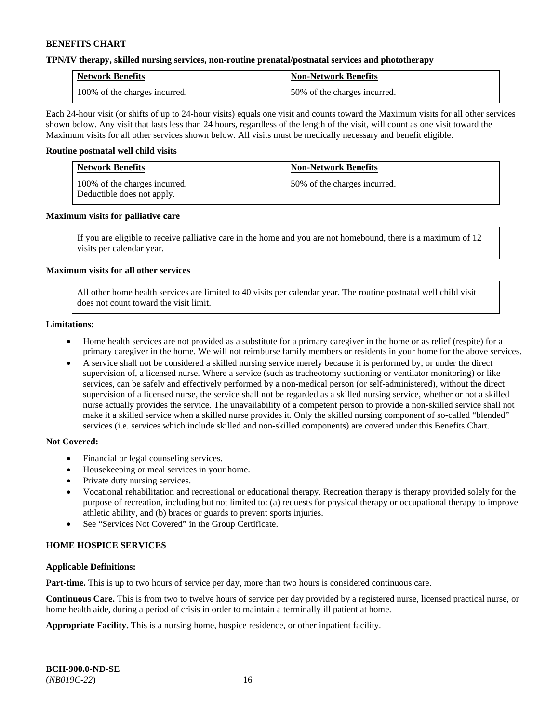### **TPN/IV therapy, skilled nursing services, non-routine prenatal/postnatal services and phototherapy**

| <b>Network Benefits</b>       | <b>Non-Network Benefits</b>  |
|-------------------------------|------------------------------|
| 100% of the charges incurred. | 50% of the charges incurred. |

Each 24-hour visit (or shifts of up to 24-hour visits) equals one visit and counts toward the Maximum visits for all other services shown below. Any visit that lasts less than 24 hours, regardless of the length of the visit, will count as one visit toward the Maximum visits for all other services shown below. All visits must be medically necessary and benefit eligible.

### **Routine postnatal well child visits**

| <b>Network Benefits</b> |                                                             | <b>Non-Network Benefits</b>  |  |
|-------------------------|-------------------------------------------------------------|------------------------------|--|
|                         | 100% of the charges incurred.<br>Deductible does not apply. | 50% of the charges incurred. |  |

### **Maximum visits for palliative care**

If you are eligible to receive palliative care in the home and you are not homebound, there is a maximum of 12 visits per calendar year.

### **Maximum visits for all other services**

All other home health services are limited to 40 visits per calendar year. The routine postnatal well child visit does not count toward the visit limit.

### **Limitations:**

- Home health services are not provided as a substitute for a primary caregiver in the home or as relief (respite) for a primary caregiver in the home. We will not reimburse family members or residents in your home for the above services.
- A service shall not be considered a skilled nursing service merely because it is performed by, or under the direct supervision of, a licensed nurse. Where a service (such as tracheotomy suctioning or ventilator monitoring) or like services, can be safely and effectively performed by a non-medical person (or self-administered), without the direct supervision of a licensed nurse, the service shall not be regarded as a skilled nursing service, whether or not a skilled nurse actually provides the service. The unavailability of a competent person to provide a non-skilled service shall not make it a skilled service when a skilled nurse provides it. Only the skilled nursing component of so-called "blended" services (i.e. services which include skilled and non-skilled components) are covered under this Benefits Chart.

# **Not Covered:**

- Financial or legal counseling services.
- Housekeeping or meal services in your home.
- Private duty nursing services.
- Vocational rehabilitation and recreational or educational therapy. Recreation therapy is therapy provided solely for the purpose of recreation, including but not limited to: (a) requests for physical therapy or occupational therapy to improve athletic ability, and (b) braces or guards to prevent sports injuries.
- See "Services Not Covered" in the Group Certificate.

# **HOME HOSPICE SERVICES**

### **Applicable Definitions:**

**Part-time.** This is up to two hours of service per day, more than two hours is considered continuous care.

**Continuous Care.** This is from two to twelve hours of service per day provided by a registered nurse, licensed practical nurse, or home health aide, during a period of crisis in order to maintain a terminally ill patient at home.

**Appropriate Facility.** This is a nursing home, hospice residence, or other inpatient facility.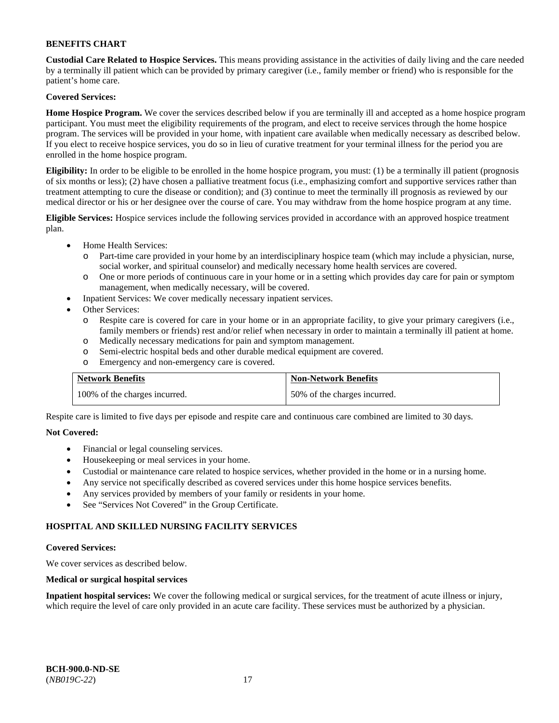**Custodial Care Related to Hospice Services.** This means providing assistance in the activities of daily living and the care needed by a terminally ill patient which can be provided by primary caregiver (i.e., family member or friend) who is responsible for the patient's home care.

# **Covered Services:**

**Home Hospice Program.** We cover the services described below if you are terminally ill and accepted as a home hospice program participant. You must meet the eligibility requirements of the program, and elect to receive services through the home hospice program. The services will be provided in your home, with inpatient care available when medically necessary as described below. If you elect to receive hospice services, you do so in lieu of curative treatment for your terminal illness for the period you are enrolled in the home hospice program.

**Eligibility:** In order to be eligible to be enrolled in the home hospice program, you must: (1) be a terminally ill patient (prognosis of six months or less); (2) have chosen a palliative treatment focus (i.e., emphasizing comfort and supportive services rather than treatment attempting to cure the disease or condition); and (3) continue to meet the terminally ill prognosis as reviewed by our medical director or his or her designee over the course of care. You may withdraw from the home hospice program at any time.

**Eligible Services:** Hospice services include the following services provided in accordance with an approved hospice treatment plan.

- Home Health Services:
	- o Part-time care provided in your home by an interdisciplinary hospice team (which may include a physician, nurse, social worker, and spiritual counselor) and medically necessary home health services are covered.
	- o One or more periods of continuous care in your home or in a setting which provides day care for pain or symptom management, when medically necessary, will be covered.
	- Inpatient Services: We cover medically necessary inpatient services.
- Other Services:
	- o Respite care is covered for care in your home or in an appropriate facility, to give your primary caregivers (i.e., family members or friends) rest and/or relief when necessary in order to maintain a terminally ill patient at home.
	- o Medically necessary medications for pain and symptom management.
	- o Semi-electric hospital beds and other durable medical equipment are covered.
	- o Emergency and non-emergency care is covered.

| <b>Network Benefits</b>       | <b>Non-Network Benefits</b>  |
|-------------------------------|------------------------------|
| 100% of the charges incurred. | 50% of the charges incurred. |

Respite care is limited to five days per episode and respite care and continuous care combined are limited to 30 days.

# **Not Covered:**

- Financial or legal counseling services.
- Housekeeping or meal services in your home.
- Custodial or maintenance care related to hospice services, whether provided in the home or in a nursing home.
- Any service not specifically described as covered services under this home hospice services benefits.
- Any services provided by members of your family or residents in your home.
- See "Services Not Covered" in the Group Certificate.

# **HOSPITAL AND SKILLED NURSING FACILITY SERVICES**

#### **Covered Services:**

We cover services as described below.

# **Medical or surgical hospital services**

**Inpatient hospital services:** We cover the following medical or surgical services, for the treatment of acute illness or injury, which require the level of care only provided in an acute care facility. These services must be authorized by a physician.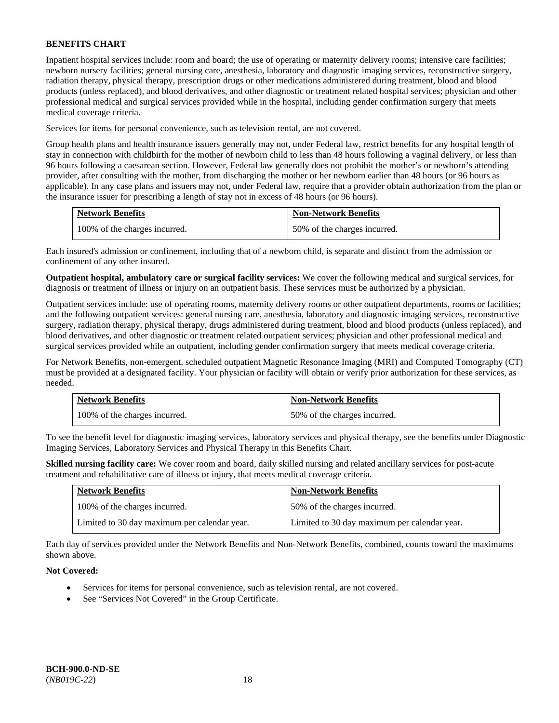Inpatient hospital services include: room and board; the use of operating or maternity delivery rooms; intensive care facilities; newborn nursery facilities; general nursing care, anesthesia, laboratory and diagnostic imaging services, reconstructive surgery, radiation therapy, physical therapy, prescription drugs or other medications administered during treatment, blood and blood products (unless replaced), and blood derivatives, and other diagnostic or treatment related hospital services; physician and other professional medical and surgical services provided while in the hospital, including gender confirmation surgery that meets medical coverage criteria.

Services for items for personal convenience, such as television rental, are not covered.

Group health plans and health insurance issuers generally may not, under Federal law, restrict benefits for any hospital length of stay in connection with childbirth for the mother of newborn child to less than 48 hours following a vaginal delivery, or less than 96 hours following a caesarean section. However, Federal law generally does not prohibit the mother's or newborn's attending provider, after consulting with the mother, from discharging the mother or her newborn earlier than 48 hours (or 96 hours as applicable). In any case plans and issuers may not, under Federal law, require that a provider obtain authorization from the plan or the insurance issuer for prescribing a length of stay not in excess of 48 hours (or 96 hours).

| <b>Network Benefits</b>       | <b>Non-Network Benefits</b>  |
|-------------------------------|------------------------------|
| 100% of the charges incurred. | 50% of the charges incurred. |

Each insured's admission or confinement, including that of a newborn child, is separate and distinct from the admission or confinement of any other insured.

**Outpatient hospital, ambulatory care or surgical facility services:** We cover the following medical and surgical services, for diagnosis or treatment of illness or injury on an outpatient basis. These services must be authorized by a physician.

Outpatient services include: use of operating rooms, maternity delivery rooms or other outpatient departments, rooms or facilities; and the following outpatient services: general nursing care, anesthesia, laboratory and diagnostic imaging services, reconstructive surgery, radiation therapy, physical therapy, drugs administered during treatment, blood and blood products (unless replaced), and blood derivatives, and other diagnostic or treatment related outpatient services; physician and other professional medical and surgical services provided while an outpatient, including gender confirmation surgery that meets medical coverage criteria.

For Network Benefits, non-emergent, scheduled outpatient Magnetic Resonance Imaging (MRI) and Computed Tomography (CT) must be provided at a designated facility. Your physician or facility will obtain or verify prior authorization for these services, as needed.

| <b>Network Benefits</b>       | <b>Non-Network Benefits</b>  |
|-------------------------------|------------------------------|
| 100% of the charges incurred. | 50% of the charges incurred. |

To see the benefit level for diagnostic imaging services, laboratory services and physical therapy, see the benefits under Diagnostic Imaging Services, Laboratory Services and Physical Therapy in this Benefits Chart.

**Skilled nursing facility care:** We cover room and board, daily skilled nursing and related ancillary services for post-acute treatment and rehabilitative care of illness or injury, that meets medical coverage criteria.

| <b>Network Benefits</b>                      | <b>Non-Network Benefits</b>                  |
|----------------------------------------------|----------------------------------------------|
| 100% of the charges incurred.                | 50% of the charges incurred.                 |
| Limited to 30 day maximum per calendar year. | Limited to 30 day maximum per calendar year. |

Each day of services provided under the Network Benefits and Non-Network Benefits, combined, counts toward the maximums shown above.

# **Not Covered:**

- Services for items for personal convenience, such as television rental, are not covered.
- See "Services Not Covered" in the Group Certificate.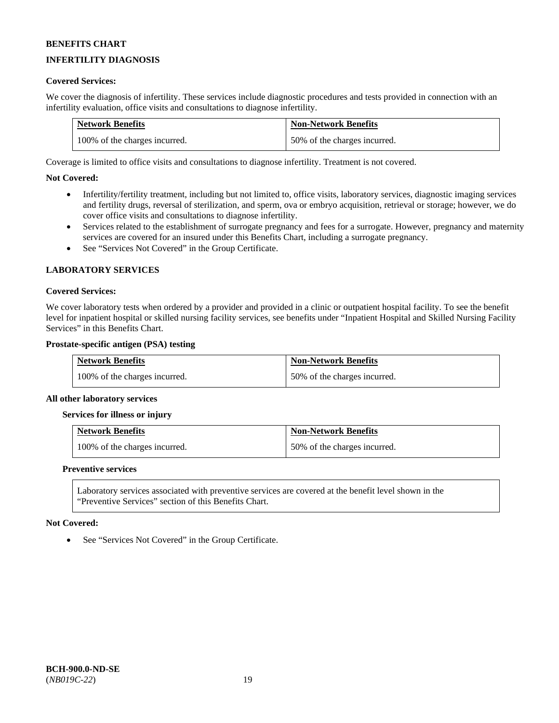# **INFERTILITY DIAGNOSIS**

### **Covered Services:**

We cover the diagnosis of infertility. These services include diagnostic procedures and tests provided in connection with an infertility evaluation, office visits and consultations to diagnose infertility.

| <b>Network Benefits</b>       | <b>Non-Network Benefits</b>  |
|-------------------------------|------------------------------|
| 100% of the charges incurred. | 50% of the charges incurred. |

Coverage is limited to office visits and consultations to diagnose infertility. Treatment is not covered.

### **Not Covered:**

- Infertility/fertility treatment, including but not limited to, office visits, laboratory services, diagnostic imaging services and fertility drugs, reversal of sterilization, and sperm, ova or embryo acquisition, retrieval or storage; however, we do cover office visits and consultations to diagnose infertility.
- Services related to the establishment of surrogate pregnancy and fees for a surrogate. However, pregnancy and maternity services are covered for an insured under this Benefits Chart, including a surrogate pregnancy.
- See "Services Not Covered" in the Group Certificate.

### **LABORATORY SERVICES**

### **Covered Services:**

We cover laboratory tests when ordered by a provider and provided in a clinic or outpatient hospital facility. To see the benefit level for inpatient hospital or skilled nursing facility services, see benefits under "Inpatient Hospital and Skilled Nursing Facility Services" in this Benefits Chart.

#### **Prostate-specific antigen (PSA) testing**

| <b>Network Benefits</b>       | <b>Non-Network Benefits</b>  |
|-------------------------------|------------------------------|
| 100% of the charges incurred. | 50% of the charges incurred. |

#### **All other laboratory services**

#### **Services for illness or injury**

| <b>Network Benefits</b>       | <b>Non-Network Benefits</b>  |
|-------------------------------|------------------------------|
| 100% of the charges incurred. | 50% of the charges incurred. |

#### **Preventive services**

Laboratory services associated with preventive services are covered at the benefit level shown in the "Preventive Services" section of this Benefits Chart.

#### **Not Covered:**

• See "Services Not Covered" in the Group Certificate.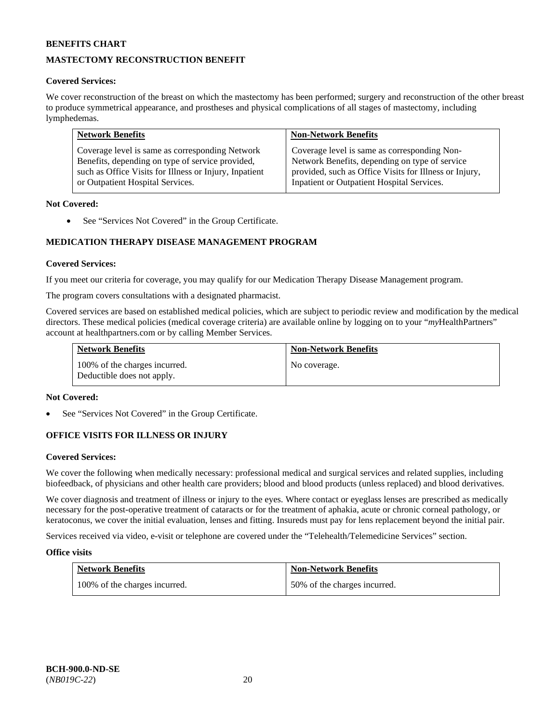# **MASTECTOMY RECONSTRUCTION BENEFIT**

# **Covered Services:**

We cover reconstruction of the breast on which the mastectomy has been performed; surgery and reconstruction of the other breast to produce symmetrical appearance, and prostheses and physical complications of all stages of mastectomy, including lymphedemas.

| <b>Network Benefits</b>                                | <b>Non-Network Benefits</b>                            |
|--------------------------------------------------------|--------------------------------------------------------|
| Coverage level is same as corresponding Network        | Coverage level is same as corresponding Non-           |
| Benefits, depending on type of service provided,       | Network Benefits, depending on type of service         |
| such as Office Visits for Illness or Injury, Inpatient | provided, such as Office Visits for Illness or Injury, |
| or Outpatient Hospital Services.                       | Inpatient or Outpatient Hospital Services.             |

### **Not Covered:**

• See "Services Not Covered" in the Group Certificate.

# **MEDICATION THERAPY DISEASE MANAGEMENT PROGRAM**

### **Covered Services:**

If you meet our criteria for coverage, you may qualify for our Medication Therapy Disease Management program.

The program covers consultations with a designated pharmacist.

Covered services are based on established medical policies, which are subject to periodic review and modification by the medical directors. These medical policies (medical coverage criteria) are available online by logging on to your "*my*HealthPartners" account a[t healthpartners.com](http://www.healthpartners.com/) or by calling Member Services.

| <b>Network Benefits</b>                                     | <b>Non-Network Benefits</b> |
|-------------------------------------------------------------|-----------------------------|
| 100% of the charges incurred.<br>Deductible does not apply. | No coverage.                |

#### **Not Covered:**

See "Services Not Covered" in the Group Certificate.

# **OFFICE VISITS FOR ILLNESS OR INJURY**

#### **Covered Services:**

We cover the following when medically necessary: professional medical and surgical services and related supplies, including biofeedback, of physicians and other health care providers; blood and blood products (unless replaced) and blood derivatives.

We cover diagnosis and treatment of illness or injury to the eyes. Where contact or eyeglass lenses are prescribed as medically necessary for the post-operative treatment of cataracts or for the treatment of aphakia, acute or chronic corneal pathology, or keratoconus, we cover the initial evaluation, lenses and fitting. Insureds must pay for lens replacement beyond the initial pair.

Services received via video, e-visit or telephone are covered under the "Telehealth/Telemedicine Services" section.

#### **Office visits**

| <b>Network Benefits</b>       | <b>Non-Network Benefits</b>  |
|-------------------------------|------------------------------|
| 100% of the charges incurred. | 50% of the charges incurred. |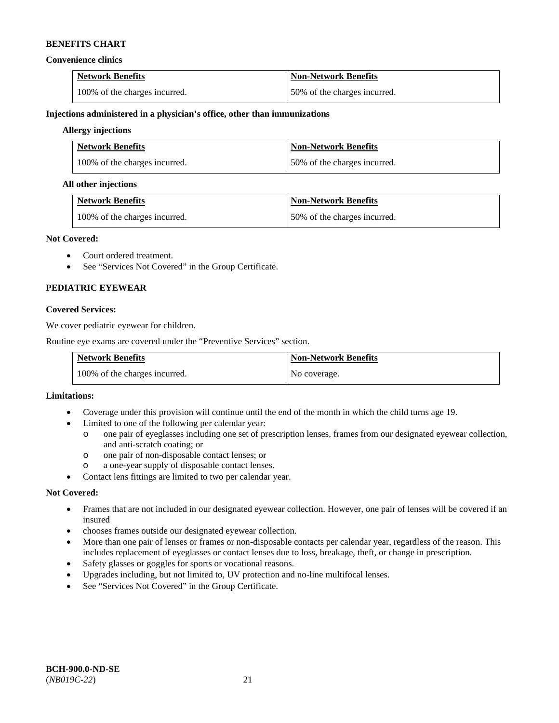#### **Convenience clinics**

| <b>Network Benefits</b>       | <b>Non-Network Benefits</b>  |
|-------------------------------|------------------------------|
| 100% of the charges incurred. | 50% of the charges incurred. |

**Injections administered in a physician's office, other than immunizations** 

### **Allergy injections**

| <b>Network Benefits</b>       | <b>Non-Network Benefits</b>  |
|-------------------------------|------------------------------|
| 100% of the charges incurred. | 50% of the charges incurred. |

### **All other injections**

| <b>Network Benefits</b>       | <b>Non-Network Benefits</b>  |
|-------------------------------|------------------------------|
| 100% of the charges incurred. | 50% of the charges incurred. |

### **Not Covered:**

- Court ordered treatment.
- See "Services Not Covered" in the Group Certificate.

# **PEDIATRIC EYEWEAR**

# **Covered Services:**

We cover pediatric eyewear for children.

Routine eye exams are covered under the "Preventive Services" section.

| <b>Network Benefits</b>       | <b>Non-Network Benefits</b> |
|-------------------------------|-----------------------------|
| 100% of the charges incurred. | No coverage.                |

#### **Limitations:**

- Coverage under this provision will continue until the end of the month in which the child turns age 19.
- Limited to one of the following per calendar year:
	- o one pair of eyeglasses including one set of prescription lenses, frames from our designated eyewear collection, and anti-scratch coating; or
	- o one pair of non-disposable contact lenses; or<br>a one-vear supply of disposable contact lense
	- a one-year supply of disposable contact lenses.
- Contact lens fittings are limited to two per calendar year.

# **Not Covered:**

- Frames that are not included in our designated eyewear collection. However, one pair of lenses will be covered if an insured
- chooses frames outside our designated eyewear collection.
- More than one pair of lenses or frames or non-disposable contacts per calendar year, regardless of the reason. This includes replacement of eyeglasses or contact lenses due to loss, breakage, theft, or change in prescription.
- Safety glasses or goggles for sports or vocational reasons.
- Upgrades including, but not limited to, UV protection and no-line multifocal lenses.
- See "Services Not Covered" in the Group Certificate.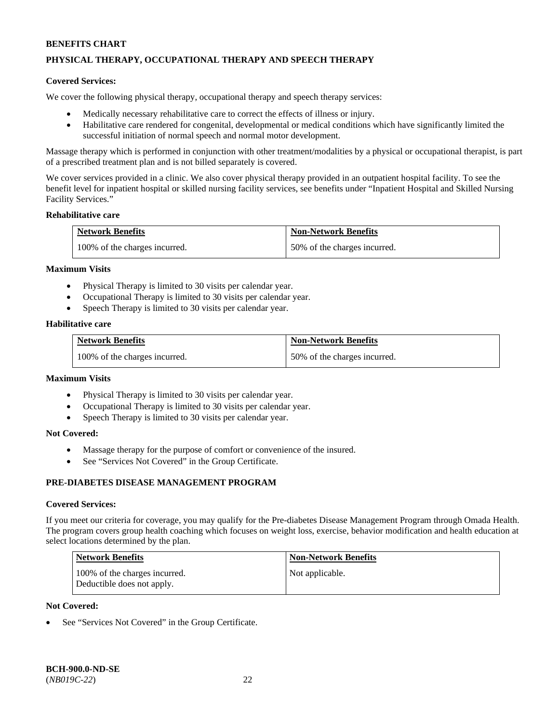# **PHYSICAL THERAPY, OCCUPATIONAL THERAPY AND SPEECH THERAPY**

### **Covered Services:**

We cover the following physical therapy, occupational therapy and speech therapy services:

- Medically necessary rehabilitative care to correct the effects of illness or injury.
- Habilitative care rendered for congenital, developmental or medical conditions which have significantly limited the successful initiation of normal speech and normal motor development.

Massage therapy which is performed in conjunction with other treatment/modalities by a physical or occupational therapist, is part of a prescribed treatment plan and is not billed separately is covered.

We cover services provided in a clinic. We also cover physical therapy provided in an outpatient hospital facility. To see the benefit level for inpatient hospital or skilled nursing facility services, see benefits under "Inpatient Hospital and Skilled Nursing Facility Services."

#### **Rehabilitative care**

| <b>Network Benefits</b>       | <b>Non-Network Benefits</b>  |
|-------------------------------|------------------------------|
| 100% of the charges incurred. | 50% of the charges incurred. |

#### **Maximum Visits**

- Physical Therapy is limited to 30 visits per calendar year.
- Occupational Therapy is limited to 30 visits per calendar year.
- Speech Therapy is limited to 30 visits per calendar year.

### **Habilitative care**

| <b>Network Benefits</b>       | <b>Non-Network Benefits</b>  |
|-------------------------------|------------------------------|
| 100% of the charges incurred. | 50% of the charges incurred. |

#### **Maximum Visits**

- Physical Therapy is limited to 30 visits per calendar year.
- Occupational Therapy is limited to 30 visits per calendar year.
- Speech Therapy is limited to 30 visits per calendar year.

#### **Not Covered:**

- Massage therapy for the purpose of comfort or convenience of the insured.
- See "Services Not Covered" in the Group Certificate.

# **PRE-DIABETES DISEASE MANAGEMENT PROGRAM**

#### **Covered Services:**

If you meet our criteria for coverage, you may qualify for the Pre-diabetes Disease Management Program through Omada Health. The program covers group health coaching which focuses on weight loss, exercise, behavior modification and health education at select locations determined by the plan.

| <b>Network Benefits</b>                                     | <b>Non-Network Benefits</b> |
|-------------------------------------------------------------|-----------------------------|
| 100% of the charges incurred.<br>Deductible does not apply. | Not applicable.             |

# **Not Covered:**

See "Services Not Covered" in the Group Certificate.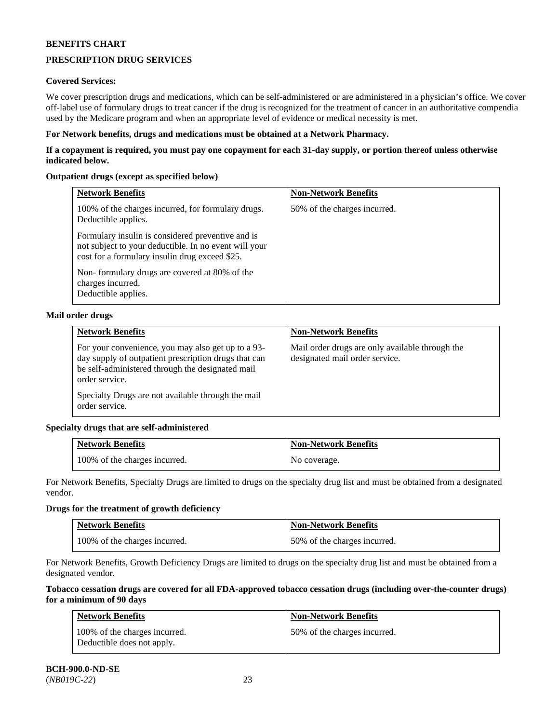# **PRESCRIPTION DRUG SERVICES**

# **Covered Services:**

We cover prescription drugs and medications, which can be self-administered or are administered in a physician's office. We cover off-label use of formulary drugs to treat cancer if the drug is recognized for the treatment of cancer in an authoritative compendia used by the Medicare program and when an appropriate level of evidence or medical necessity is met.

### **For Network benefits, drugs and medications must be obtained at a Network Pharmacy.**

**If a copayment is required, you must pay one copayment for each 31-day supply, or portion thereof unless otherwise indicated below.** 

# **Outpatient drugs (except as specified below)**

| <b>Network Benefits</b>                                                                                                                                      | <b>Non-Network Benefits</b>  |
|--------------------------------------------------------------------------------------------------------------------------------------------------------------|------------------------------|
| 100% of the charges incurred, for formulary drugs.<br>Deductible applies.                                                                                    | 50% of the charges incurred. |
| Formulary insulin is considered preventive and is<br>not subject to your deductible. In no event will your<br>cost for a formulary insulin drug exceed \$25. |                              |
| Non-formulary drugs are covered at 80% of the<br>charges incurred.<br>Deductible applies.                                                                    |                              |

### **Mail order drugs**

| <b>Network Benefits</b>                                                                                                                                                          | <b>Non-Network Benefits</b>                                                       |
|----------------------------------------------------------------------------------------------------------------------------------------------------------------------------------|-----------------------------------------------------------------------------------|
| For your convenience, you may also get up to a 93-<br>day supply of outpatient prescription drugs that can<br>be self-administered through the designated mail<br>order service. | Mail order drugs are only available through the<br>designated mail order service. |
| Specialty Drugs are not available through the mail<br>order service.                                                                                                             |                                                                                   |

# **Specialty drugs that are self-administered**

| <b>Network Benefits</b>       | <b>Non-Network Benefits</b> |
|-------------------------------|-----------------------------|
| 100% of the charges incurred. | No coverage.                |

For Network Benefits, Specialty Drugs are limited to drugs on the specialty drug list and must be obtained from a designated vendor.

# **Drugs for the treatment of growth deficiency**

| <b>Network Benefits</b>       | <b>Non-Network Benefits</b>  |
|-------------------------------|------------------------------|
| 100% of the charges incurred. | 50% of the charges incurred. |

For Network Benefits, Growth Deficiency Drugs are limited to drugs on the specialty drug list and must be obtained from a designated vendor.

#### **Tobacco cessation drugs are covered for all FDA-approved tobacco cessation drugs (including over-the-counter drugs) for a minimum of 90 days**

| <b>Network Benefits</b>                                     | <b>Non-Network Benefits</b>  |
|-------------------------------------------------------------|------------------------------|
| 100% of the charges incurred.<br>Deductible does not apply. | 50% of the charges incurred. |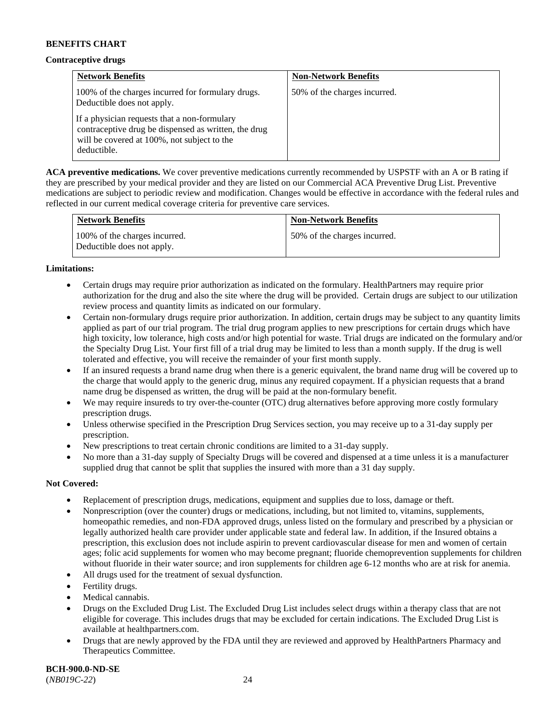#### **Contraceptive drugs**

| <b>Network Benefits</b>                                                                                                                                            | <b>Non-Network Benefits</b>  |
|--------------------------------------------------------------------------------------------------------------------------------------------------------------------|------------------------------|
| 100% of the charges incurred for formulary drugs.<br>Deductible does not apply.                                                                                    | 50% of the charges incurred. |
| If a physician requests that a non-formulary<br>contraceptive drug be dispensed as written, the drug<br>will be covered at 100%, not subject to the<br>deductible. |                              |

**ACA preventive medications.** We cover preventive medications currently recommended by USPSTF with an A or B rating if they are prescribed by your medical provider and they are listed on our Commercial ACA Preventive Drug List. Preventive medications are subject to periodic review and modification. Changes would be effective in accordance with the federal rules and reflected in our current medical coverage criteria for preventive care services.

| <b>Network Benefits</b>                                     | <b>Non-Network Benefits</b>  |
|-------------------------------------------------------------|------------------------------|
| 100% of the charges incurred.<br>Deductible does not apply. | 50% of the charges incurred. |

### **Limitations:**

- Certain drugs may require prior authorization as indicated on the formulary. HealthPartners may require prior authorization for the drug and also the site where the drug will be provided. Certain drugs are subject to our utilization review process and quantity limits as indicated on our formulary.
- Certain non-formulary drugs require prior authorization. In addition, certain drugs may be subject to any quantity limits applied as part of our trial program. The trial drug program applies to new prescriptions for certain drugs which have high toxicity, low tolerance, high costs and/or high potential for waste. Trial drugs are indicated on the formulary and/or the Specialty Drug List. Your first fill of a trial drug may be limited to less than a month supply. If the drug is well tolerated and effective, you will receive the remainder of your first month supply.
- If an insured requests a brand name drug when there is a generic equivalent, the brand name drug will be covered up to the charge that would apply to the generic drug, minus any required copayment. If a physician requests that a brand name drug be dispensed as written, the drug will be paid at the non-formulary benefit.
- We may require insureds to try over-the-counter (OTC) drug alternatives before approving more costly formulary prescription drugs.
- Unless otherwise specified in the Prescription Drug Services section, you may receive up to a 31-day supply per prescription.
- New prescriptions to treat certain chronic conditions are limited to a 31-day supply.
- No more than a 31-day supply of Specialty Drugs will be covered and dispensed at a time unless it is a manufacturer supplied drug that cannot be split that supplies the insured with more than a 31 day supply.

# **Not Covered:**

- Replacement of prescription drugs, medications, equipment and supplies due to loss, damage or theft.
- Nonprescription (over the counter) drugs or medications, including, but not limited to, vitamins, supplements, homeopathic remedies, and non-FDA approved drugs, unless listed on the formulary and prescribed by a physician or legally authorized health care provider under applicable state and federal law. In addition, if the Insured obtains a prescription, this exclusion does not include aspirin to prevent cardiovascular disease for men and women of certain ages; folic acid supplements for women who may become pregnant; fluoride chemoprevention supplements for children without fluoride in their water source; and iron supplements for children age 6-12 months who are at risk for anemia.
- All drugs used for the treatment of sexual dysfunction.
- Fertility drugs.
- Medical cannabis.
- Drugs on the Excluded Drug List. The Excluded Drug List includes select drugs within a therapy class that are not eligible for coverage. This includes drugs that may be excluded for certain indications. The Excluded Drug List is available at [healthpartners.com.](http://www.healthpartners.com/)
- Drugs that are newly approved by the FDA until they are reviewed and approved by HealthPartners Pharmacy and Therapeutics Committee.

**BCH-900.0-ND-SE** (*NB019C-22*) 24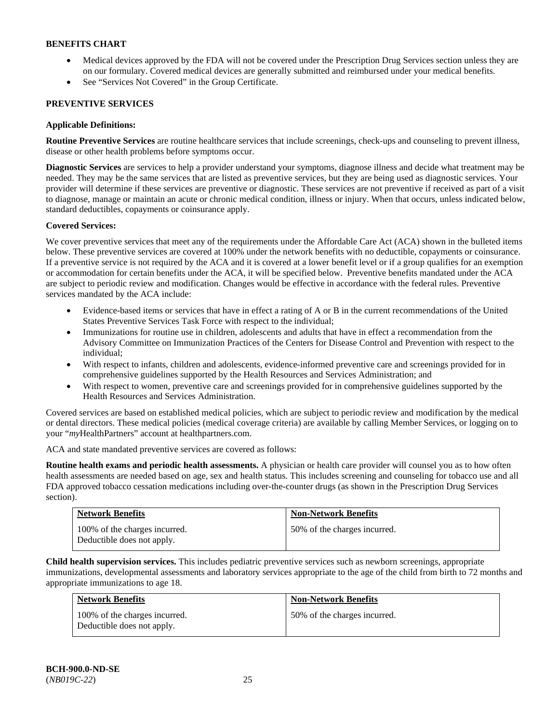- Medical devices approved by the FDA will not be covered under the Prescription Drug Services section unless they are on our formulary. Covered medical devices are generally submitted and reimbursed under your medical benefits.
- See "Services Not Covered" in the Group Certificate.

# **PREVENTIVE SERVICES**

# **Applicable Definitions:**

**Routine Preventive Services** are routine healthcare services that include screenings, check-ups and counseling to prevent illness, disease or other health problems before symptoms occur.

**Diagnostic Services** are services to help a provider understand your symptoms, diagnose illness and decide what treatment may be needed. They may be the same services that are listed as preventive services, but they are being used as diagnostic services. Your provider will determine if these services are preventive or diagnostic. These services are not preventive if received as part of a visit to diagnose, manage or maintain an acute or chronic medical condition, illness or injury. When that occurs, unless indicated below, standard deductibles, copayments or coinsurance apply.

# **Covered Services:**

We cover preventive services that meet any of the requirements under the Affordable Care Act (ACA) shown in the bulleted items below. These preventive services are covered at 100% under the network benefits with no deductible, copayments or coinsurance. If a preventive service is not required by the ACA and it is covered at a lower benefit level or if a group qualifies for an exemption or accommodation for certain benefits under the ACA, it will be specified below. Preventive benefits mandated under the ACA are subject to periodic review and modification. Changes would be effective in accordance with the federal rules. Preventive services mandated by the ACA include:

- Evidence-based items or services that have in effect a rating of A or B in the current recommendations of the United States Preventive Services Task Force with respect to the individual;
- Immunizations for routine use in children, adolescents and adults that have in effect a recommendation from the Advisory Committee on Immunization Practices of the Centers for Disease Control and Prevention with respect to the individual;
- With respect to infants, children and adolescents, evidence-informed preventive care and screenings provided for in comprehensive guidelines supported by the Health Resources and Services Administration; and
- With respect to women, preventive care and screenings provided for in comprehensive guidelines supported by the Health Resources and Services Administration.

Covered services are based on established medical policies, which are subject to periodic review and modification by the medical or dental directors. These medical policies (medical coverage criteria) are available by calling Member Services, or logging on to your "*my*HealthPartners" account at [healthpartners.com.](http://www.healthpartners.com/) 

ACA and state mandated preventive services are covered as follows:

**Routine health exams and periodic health assessments.** A physician or health care provider will counsel you as to how often health assessments are needed based on age, sex and health status. This includes screening and counseling for tobacco use and all FDA approved tobacco cessation medications including over-the-counter drugs (as shown in the Prescription Drug Services section).

| <b>Network Benefits</b>                                     | <b>Non-Network Benefits</b>  |
|-------------------------------------------------------------|------------------------------|
| 100% of the charges incurred.<br>Deductible does not apply. | 50% of the charges incurred. |

**Child health supervision services.** This includes pediatric preventive services such as newborn screenings, appropriate immunizations, developmental assessments and laboratory services appropriate to the age of the child from birth to 72 months and appropriate immunizations to age 18.

| <b>Network Benefits</b>                                     | <b>Non-Network Benefits</b>  |
|-------------------------------------------------------------|------------------------------|
| 100% of the charges incurred.<br>Deductible does not apply. | 50% of the charges incurred. |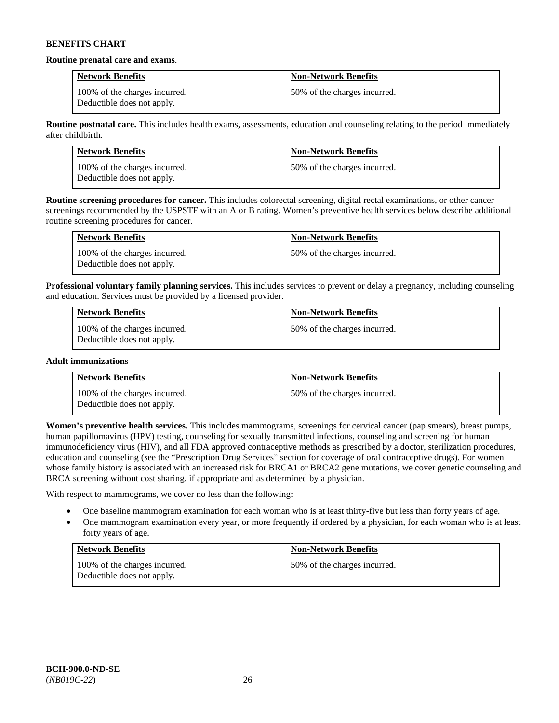#### **Routine prenatal care and exams**.

| <b>Network Benefits</b>                                     | <b>Non-Network Benefits</b>  |
|-------------------------------------------------------------|------------------------------|
| 100% of the charges incurred.<br>Deductible does not apply. | 50% of the charges incurred. |

**Routine postnatal care.** This includes health exams, assessments, education and counseling relating to the period immediately after childbirth.

| <b>Network Benefits</b>                                     | <b>Non-Network Benefits</b>  |
|-------------------------------------------------------------|------------------------------|
| 100% of the charges incurred.<br>Deductible does not apply. | 50% of the charges incurred. |

**Routine screening procedures for cancer.** This includes colorectal screening, digital rectal examinations, or other cancer screenings recommended by the USPSTF with an A or B rating. Women's preventive health services below describe additional routine screening procedures for cancer.

| <b>Network Benefits</b>                                     | <b>Non-Network Benefits</b>  |
|-------------------------------------------------------------|------------------------------|
| 100% of the charges incurred.<br>Deductible does not apply. | 50% of the charges incurred. |

**Professional voluntary family planning services.** This includes services to prevent or delay a pregnancy, including counseling and education. Services must be provided by a licensed provider.

| <b>Network Benefits</b>                                     | <b>Non-Network Benefits</b>  |
|-------------------------------------------------------------|------------------------------|
| 100% of the charges incurred.<br>Deductible does not apply. | 50% of the charges incurred. |

#### **Adult immunizations**

| <b>Network Benefits</b>                                     | <b>Non-Network Benefits</b>  |
|-------------------------------------------------------------|------------------------------|
| 100% of the charges incurred.<br>Deductible does not apply. | 50% of the charges incurred. |

**Women's preventive health services.** This includes mammograms, screenings for cervical cancer (pap smears), breast pumps, human papillomavirus (HPV) testing, counseling for sexually transmitted infections, counseling and screening for human immunodeficiency virus (HIV), and all FDA approved contraceptive methods as prescribed by a doctor, sterilization procedures, education and counseling (see the "Prescription Drug Services" section for coverage of oral contraceptive drugs). For women whose family history is associated with an increased risk for BRCA1 or BRCA2 gene mutations, we cover genetic counseling and BRCA screening without cost sharing, if appropriate and as determined by a physician.

With respect to mammograms, we cover no less than the following:

- One baseline mammogram examination for each woman who is at least thirty-five but less than forty years of age.
- One mammogram examination every year, or more frequently if ordered by a physician, for each woman who is at least forty years of age.

| <b>Network Benefits</b>                                     | <b>Non-Network Benefits</b>  |
|-------------------------------------------------------------|------------------------------|
| 100% of the charges incurred.<br>Deductible does not apply. | 50% of the charges incurred. |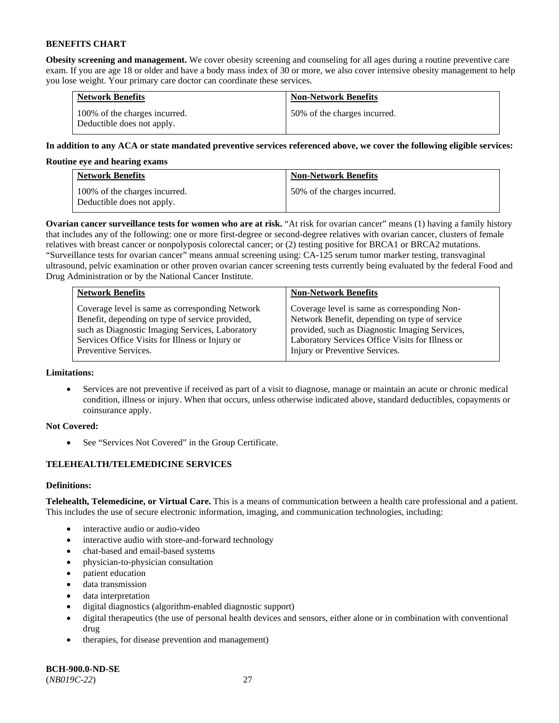**Obesity screening and management.** We cover obesity screening and counseling for all ages during a routine preventive care exam. If you are age 18 or older and have a body mass index of 30 or more, we also cover intensive obesity management to help you lose weight. Your primary care doctor can coordinate these services.

| <b>Network Benefits</b>                                     | <b>Non-Network Benefits</b>  |
|-------------------------------------------------------------|------------------------------|
| 100% of the charges incurred.<br>Deductible does not apply. | 50% of the charges incurred. |

# **In addition to any ACA or state mandated preventive services referenced above, we cover the following eligible services:**

# **Routine eye and hearing exams**

| <b>Network Benefits</b>                                     | <b>Non-Network Benefits</b>  |
|-------------------------------------------------------------|------------------------------|
| 100% of the charges incurred.<br>Deductible does not apply. | 50% of the charges incurred. |

**Ovarian cancer surveillance tests for women who are at risk.** "At risk for ovarian cancer" means (1) having a family history that includes any of the following: one or more first-degree or second-degree relatives with ovarian cancer, clusters of female relatives with breast cancer or nonpolyposis colorectal cancer; or (2) testing positive for BRCA1 or BRCA2 mutations. "Surveillance tests for ovarian cancer" means annual screening using: CA-125 serum tumor marker testing, transvaginal ultrasound, pelvic examination or other proven ovarian cancer screening tests currently being evaluated by the federal Food and Drug Administration or by the National Cancer Institute.

| <b>Network Benefits</b>                         | <b>Non-Network Benefits</b>                      |
|-------------------------------------------------|--------------------------------------------------|
| Coverage level is same as corresponding Network | Coverage level is same as corresponding Non-     |
| Benefit, depending on type of service provided, | Network Benefit, depending on type of service    |
| such as Diagnostic Imaging Services, Laboratory | provided, such as Diagnostic Imaging Services,   |
| Services Office Visits for Illness or Injury or | Laboratory Services Office Visits for Illness or |
| Preventive Services.                            | Injury or Preventive Services.                   |

# **Limitations:**

• Services are not preventive if received as part of a visit to diagnose, manage or maintain an acute or chronic medical condition, illness or injury. When that occurs, unless otherwise indicated above, standard deductibles, copayments or coinsurance apply.

# **Not Covered:**

See "Services Not Covered" in the Group Certificate.

# **TELEHEALTH/TELEMEDICINE SERVICES**

# **Definitions:**

**Telehealth, Telemedicine, or Virtual Care.** This is a means of communication between a health care professional and a patient. This includes the use of secure electronic information, imaging, and communication technologies, including:

- interactive audio or audio-video
- interactive audio with store-and-forward technology
- chat-based and email-based systems
- physician-to-physician consultation
- patient education
- data transmission
- data interpretation
- digital diagnostics (algorithm-enabled diagnostic support)
- digital therapeutics (the use of personal health devices and sensors, either alone or in combination with conventional drug
- therapies, for disease prevention and management)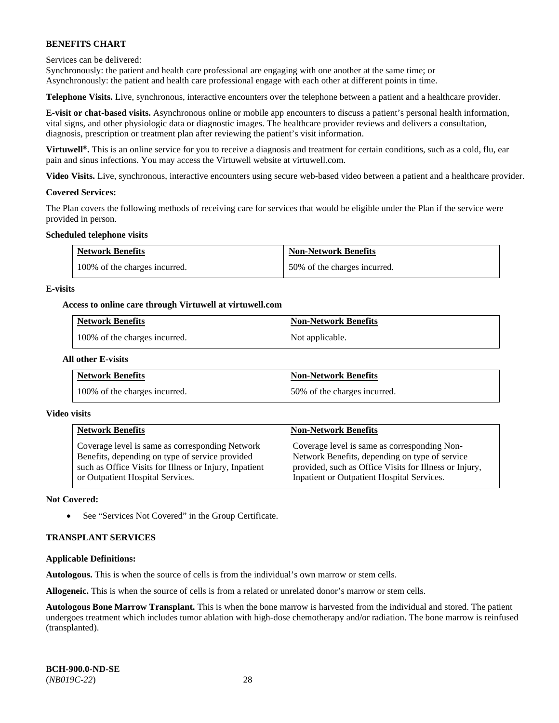Services can be delivered:

Synchronously: the patient and health care professional are engaging with one another at the same time; or Asynchronously: the patient and health care professional engage with each other at different points in time.

**Telephone Visits.** Live, synchronous, interactive encounters over the telephone between a patient and a healthcare provider.

**E-visit or chat-based visits.** Asynchronous online or mobile app encounters to discuss a patient's personal health information, vital signs, and other physiologic data or diagnostic images. The healthcare provider reviews and delivers a consultation, diagnosis, prescription or treatment plan after reviewing the patient's visit information.

**Virtuwell®.** This is an online service for you to receive a diagnosis and treatment for certain conditions, such as a cold, flu, ear pain and sinus infections. You may access the Virtuwell website at [virtuwell.com.](https://www.virtuwell.com/)

**Video Visits.** Live, synchronous, interactive encounters using secure web-based video between a patient and a healthcare provider.

### **Covered Services:**

The Plan covers the following methods of receiving care for services that would be eligible under the Plan if the service were provided in person.

### **Scheduled telephone visits**

| <b>Network Benefits</b>       | <b>Non-Network Benefits</b>  |
|-------------------------------|------------------------------|
| 100% of the charges incurred. | 50% of the charges incurred. |

### **E-visits**

### **Access to online care through Virtuwell at [virtuwell.com](https://www.virtuwell.com/)**

| <b>Network Benefits</b>       | <b>Non-Network Benefits</b> |
|-------------------------------|-----------------------------|
| 100% of the charges incurred. | Not applicable.             |

### **All other E-visits**

| <b>Network Benefits</b>       | <b>Non-Network Benefits</b>  |
|-------------------------------|------------------------------|
| 100% of the charges incurred. | 50% of the charges incurred. |

#### **Video visits**

| <b>Network Benefits</b>                                | <b>Non-Network Benefits</b>                            |
|--------------------------------------------------------|--------------------------------------------------------|
| Coverage level is same as corresponding Network        | Coverage level is same as corresponding Non-           |
| Benefits, depending on type of service provided        | Network Benefits, depending on type of service         |
| such as Office Visits for Illness or Injury, Inpatient | provided, such as Office Visits for Illness or Injury, |
| or Outpatient Hospital Services.                       | Inpatient or Outpatient Hospital Services.             |

#### **Not Covered:**

• See "Services Not Covered" in the Group Certificate.

# **TRANSPLANT SERVICES**

#### **Applicable Definitions:**

**Autologous.** This is when the source of cells is from the individual's own marrow or stem cells.

**Allogeneic.** This is when the source of cells is from a related or unrelated donor's marrow or stem cells.

**Autologous Bone Marrow Transplant.** This is when the bone marrow is harvested from the individual and stored. The patient undergoes treatment which includes tumor ablation with high-dose chemotherapy and/or radiation. The bone marrow is reinfused (transplanted).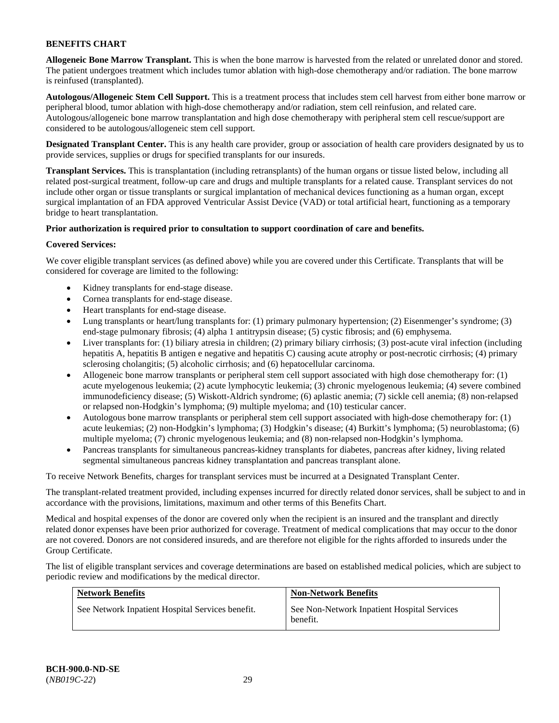**Allogeneic Bone Marrow Transplant.** This is when the bone marrow is harvested from the related or unrelated donor and stored. The patient undergoes treatment which includes tumor ablation with high-dose chemotherapy and/or radiation. The bone marrow is reinfused (transplanted).

**Autologous/Allogeneic Stem Cell Support.** This is a treatment process that includes stem cell harvest from either bone marrow or peripheral blood, tumor ablation with high-dose chemotherapy and/or radiation, stem cell reinfusion, and related care. Autologous/allogeneic bone marrow transplantation and high dose chemotherapy with peripheral stem cell rescue/support are considered to be autologous/allogeneic stem cell support.

**Designated Transplant Center.** This is any health care provider, group or association of health care providers designated by us to provide services, supplies or drugs for specified transplants for our insureds.

**Transplant Services.** This is transplantation (including retransplants) of the human organs or tissue listed below, including all related post-surgical treatment, follow-up care and drugs and multiple transplants for a related cause. Transplant services do not include other organ or tissue transplants or surgical implantation of mechanical devices functioning as a human organ, except surgical implantation of an FDA approved Ventricular Assist Device (VAD) or total artificial heart, functioning as a temporary bridge to heart transplantation.

# **Prior authorization is required prior to consultation to support coordination of care and benefits.**

# **Covered Services:**

We cover eligible transplant services (as defined above) while you are covered under this Certificate. Transplants that will be considered for coverage are limited to the following:

- Kidney transplants for end-stage disease.
- Cornea transplants for end-stage disease.
- Heart transplants for end-stage disease.
- Lung transplants or heart/lung transplants for: (1) primary pulmonary hypertension; (2) Eisenmenger's syndrome; (3) end-stage pulmonary fibrosis; (4) alpha 1 antitrypsin disease; (5) cystic fibrosis; and (6) emphysema.
- Liver transplants for: (1) biliary atresia in children; (2) primary biliary cirrhosis; (3) post-acute viral infection (including hepatitis A, hepatitis B antigen e negative and hepatitis C) causing acute atrophy or post-necrotic cirrhosis; (4) primary sclerosing cholangitis; (5) alcoholic cirrhosis; and (6) hepatocellular carcinoma.
- Allogeneic bone marrow transplants or peripheral stem cell support associated with high dose chemotherapy for: (1) acute myelogenous leukemia; (2) acute lymphocytic leukemia; (3) chronic myelogenous leukemia; (4) severe combined immunodeficiency disease; (5) Wiskott-Aldrich syndrome; (6) aplastic anemia; (7) sickle cell anemia; (8) non-relapsed or relapsed non-Hodgkin's lymphoma; (9) multiple myeloma; and (10) testicular cancer.
- Autologous bone marrow transplants or peripheral stem cell support associated with high-dose chemotherapy for: (1) acute leukemias; (2) non-Hodgkin's lymphoma; (3) Hodgkin's disease; (4) Burkitt's lymphoma; (5) neuroblastoma; (6) multiple myeloma; (7) chronic myelogenous leukemia; and (8) non-relapsed non-Hodgkin's lymphoma.
- Pancreas transplants for simultaneous pancreas-kidney transplants for diabetes, pancreas after kidney, living related segmental simultaneous pancreas kidney transplantation and pancreas transplant alone.

To receive Network Benefits, charges for transplant services must be incurred at a Designated Transplant Center.

The transplant-related treatment provided, including expenses incurred for directly related donor services, shall be subject to and in accordance with the provisions, limitations, maximum and other terms of this Benefits Chart.

Medical and hospital expenses of the donor are covered only when the recipient is an insured and the transplant and directly related donor expenses have been prior authorized for coverage. Treatment of medical complications that may occur to the donor are not covered. Donors are not considered insureds, and are therefore not eligible for the rights afforded to insureds under the Group Certificate.

The list of eligible transplant services and coverage determinations are based on established medical policies, which are subject to periodic review and modifications by the medical director.

| <b>Network Benefits</b>                          | <b>Non-Network Benefits</b>                             |
|--------------------------------------------------|---------------------------------------------------------|
| See Network Inpatient Hospital Services benefit. | See Non-Network Inpatient Hospital Services<br>benefit. |